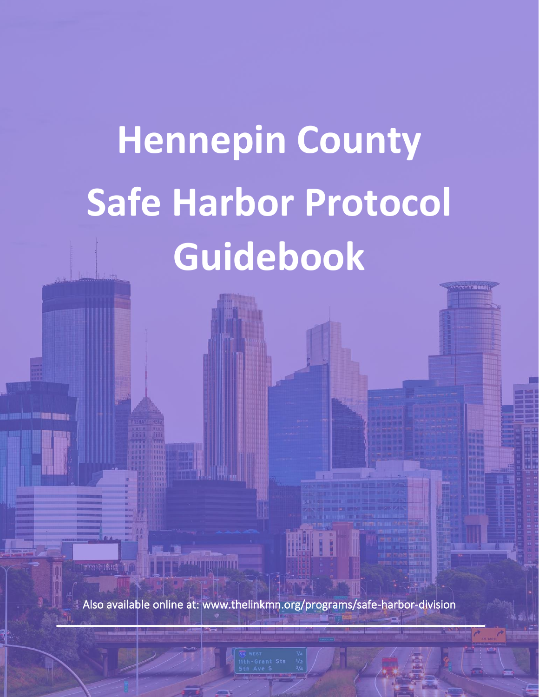# **Hennepin County Safe Harbor Protocol Guidebook**

Also available online at: www.thelinkmn.org/programs/safe-harbor-division

M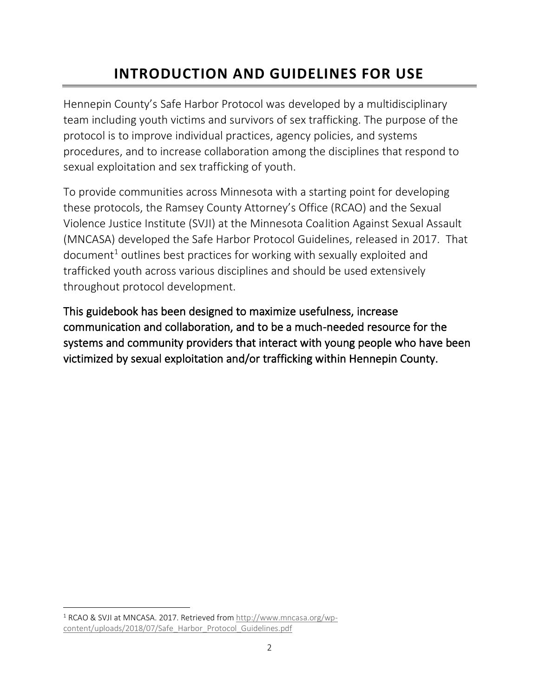## <span id="page-1-1"></span>**INTRODUCTION AND GUIDELINES FOR USE**

<span id="page-1-0"></span>Hennepin County's Safe Harbor Protocol was developed by a multidisciplinary team including youth victims and survivors of sex trafficking. The purpose of the protocol is to improve individual practices, agency policies, and systems procedures, and to increase collaboration among the disciplines that respond to sexual exploitation and sex trafficking of youth.

To provide communities across Minnesota with a starting point for developing these protocols, the Ramsey County Attorney's Office (RCAO) and the Sexual Violence Justice Institute (SVJI) at the Minnesota Coalition Against Sexual Assault (MNCASA) developed the Safe Harbor Protocol Guidelines, released in 2017. That  $d$  document<sup>1</sup> outlines best practices for working with sexually exploited and trafficked youth across various disciplines and should be used extensively throughout protocol development.

This guidebook has been designed to maximize usefulness, increase communication and collaboration, and to be a much-needed resource for the systems and community providers that interact with young people who have been victimized by sexual exploitation and/or trafficking within Hennepin County.

<sup>1</sup> RCAO & SVJI at MNCASA. 2017. Retrieved from [http://www.mncasa.org/wp](http://www.mncasa.org/wp-content/uploads/2018/07/Safe_Harbor_Protocol_Guidelines.pdf)[content/uploads/2018/07/Safe\\_Harbor\\_Protocol\\_Guidelines.pdf](http://www.mncasa.org/wp-content/uploads/2018/07/Safe_Harbor_Protocol_Guidelines.pdf)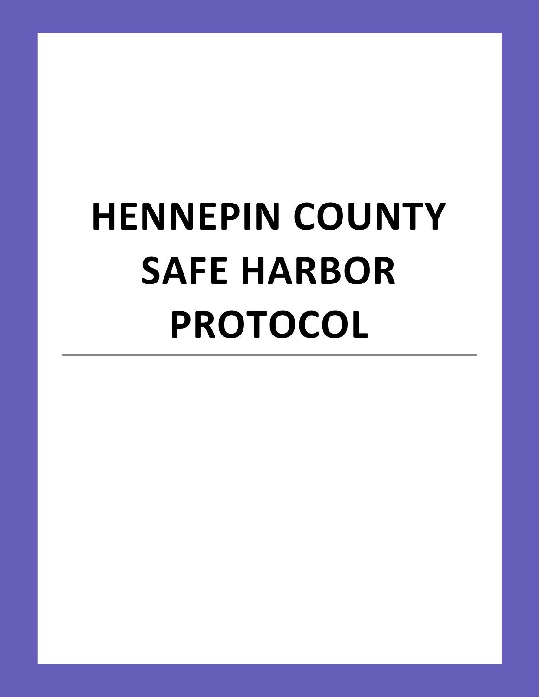# <span id="page-2-1"></span><span id="page-2-0"></span>**HENNEPIN COUNTY SAFE HARBOR PROTOCOL**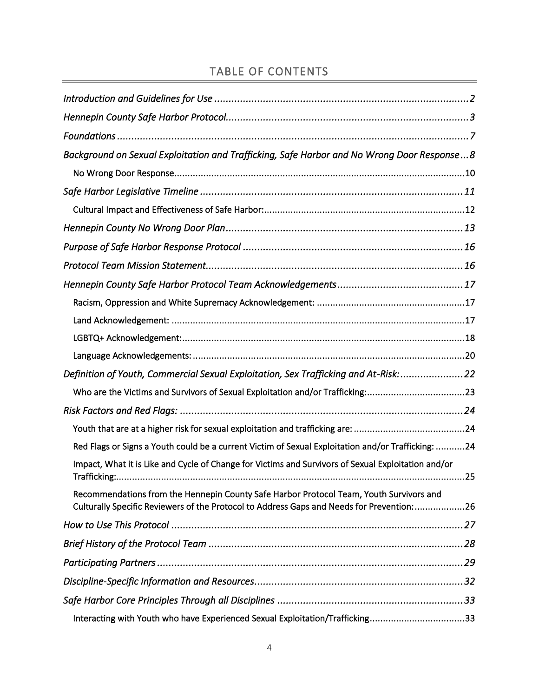#### TABLE OF CONTENTS

| Background on Sexual Exploitation and Trafficking, Safe Harbor and No Wrong Door Response8                                                                                           |
|--------------------------------------------------------------------------------------------------------------------------------------------------------------------------------------|
|                                                                                                                                                                                      |
|                                                                                                                                                                                      |
|                                                                                                                                                                                      |
|                                                                                                                                                                                      |
|                                                                                                                                                                                      |
|                                                                                                                                                                                      |
|                                                                                                                                                                                      |
|                                                                                                                                                                                      |
|                                                                                                                                                                                      |
|                                                                                                                                                                                      |
|                                                                                                                                                                                      |
| Definition of Youth, Commercial Sexual Exploitation, Sex Trafficking and At-Risk: 22                                                                                                 |
| Who are the Victims and Survivors of Sexual Exploitation and/or Trafficking:23                                                                                                       |
|                                                                                                                                                                                      |
|                                                                                                                                                                                      |
| Red Flags or Signs a Youth could be a current Victim of Sexual Exploitation and/or Trafficking: 24                                                                                   |
| Impact, What it is Like and Cycle of Change for Victims and Survivors of Sexual Exploitation and/or                                                                                  |
| Recommendations from the Hennepin County Safe Harbor Protocol Team, Youth Survivors and<br>Culturally Specific Reviewers of the Protocol to Address Gaps and Needs for Prevention:26 |
|                                                                                                                                                                                      |
|                                                                                                                                                                                      |
|                                                                                                                                                                                      |
|                                                                                                                                                                                      |
| Safe Harbor Core Principles Through all Disciplines ………………………………………………………………………33                                                                                                    |
| Interacting with Youth who have Experienced Sexual Exploitation/Trafficking33                                                                                                        |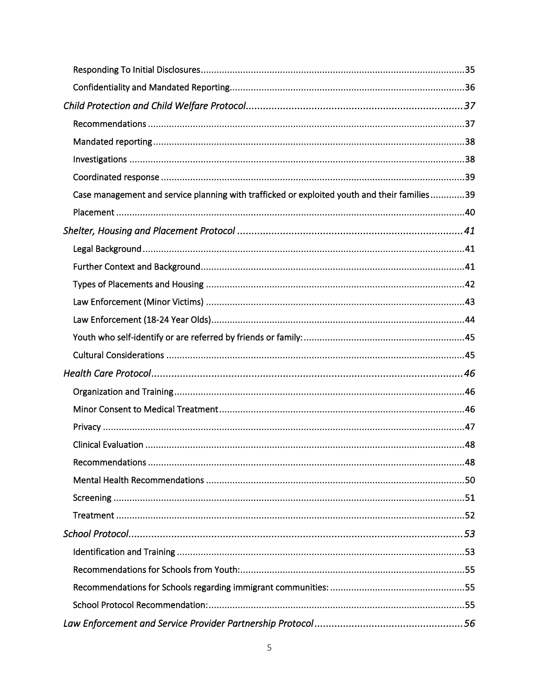| Case management and service planning with trafficked or exploited youth and their families39 |  |  |  |
|----------------------------------------------------------------------------------------------|--|--|--|
|                                                                                              |  |  |  |
|                                                                                              |  |  |  |
|                                                                                              |  |  |  |
|                                                                                              |  |  |  |
|                                                                                              |  |  |  |
|                                                                                              |  |  |  |
|                                                                                              |  |  |  |
|                                                                                              |  |  |  |
|                                                                                              |  |  |  |
|                                                                                              |  |  |  |
|                                                                                              |  |  |  |
|                                                                                              |  |  |  |
|                                                                                              |  |  |  |
|                                                                                              |  |  |  |
|                                                                                              |  |  |  |
|                                                                                              |  |  |  |
|                                                                                              |  |  |  |
|                                                                                              |  |  |  |
|                                                                                              |  |  |  |
|                                                                                              |  |  |  |
|                                                                                              |  |  |  |
|                                                                                              |  |  |  |
|                                                                                              |  |  |  |
|                                                                                              |  |  |  |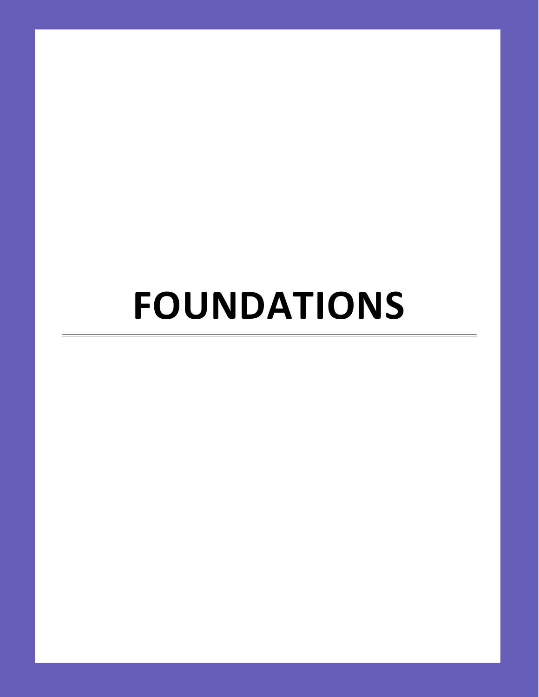## <span id="page-6-1"></span><span id="page-6-0"></span>**[FOUNDAT](#page-66-1)[IONS](#page-66-2)**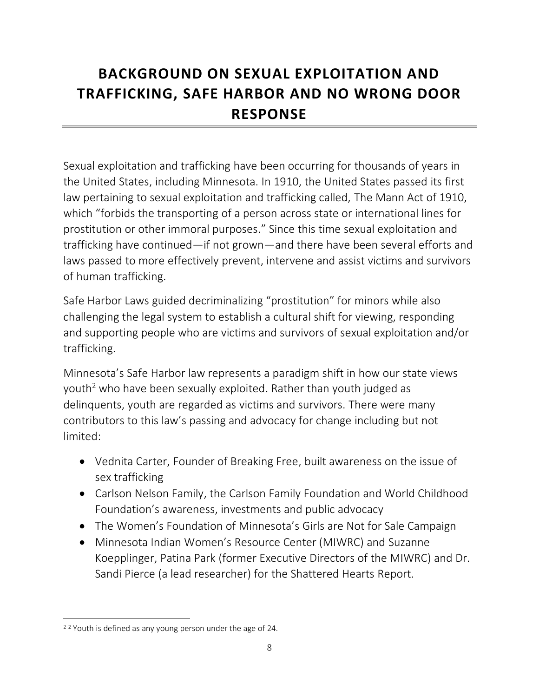## <span id="page-7-1"></span><span id="page-7-0"></span>**[BACKG](#page-66-2)ROUND ON SEXUAL EXPLOITATION AND TRAFFICKING, SAFE HARBOR AND NO WRONG DOOR RESPONSE**

Sexual exploitation and trafficking have been occurring for thousands of years in the United States, including Minnesota. In 1910, the United States passed its first law pertaining to sexual exploitation and trafficking called, The Mann Act of 1910, which "forbids the transporting of a person across state or international lines for prostitution or other immoral purposes." Since this time sexual exploitation and trafficking have continued—if not grown—and there have been several efforts and laws passed to more effectively prevent, intervene and assist victims and survivors of human trafficking.

Safe Harbor Laws guided decriminalizing "prostitution" for minors while also challenging the legal system to establish a cultural shift for viewing, responding and supporting people who are victims and survivors of sexual exploitation and/or trafficking.

Minnesota's Safe Harbor law represents a paradigm shift in how our state views youth<sup>2</sup> who have been sexually exploited. Rather than youth judged as delinquents, youth are regarded as victims and survivors. There were many contributors to this law's passing and advocacy for change including but not limited:

- Vednita Carter, Founder of Breaking Free, built awareness on the issue of sex trafficking
- Carlson Nelson Family, the Carlson Family Foundation and World Childhood Foundation's awareness, investments and public advocacy
- The Women's Foundation of Minnesota's Girls are Not for Sale Campaign
- Minnesota Indian Women's Resource Center (MIWRC) and Suzanne Koepplinger, Patina Park (former Executive Directors of the MIWRC) and Dr. Sandi Pierce (a lead researcher) for the Shattered Hearts Report.

<sup>&</sup>lt;sup>2</sup> 2 Youth is defined as any young person under the age of 24.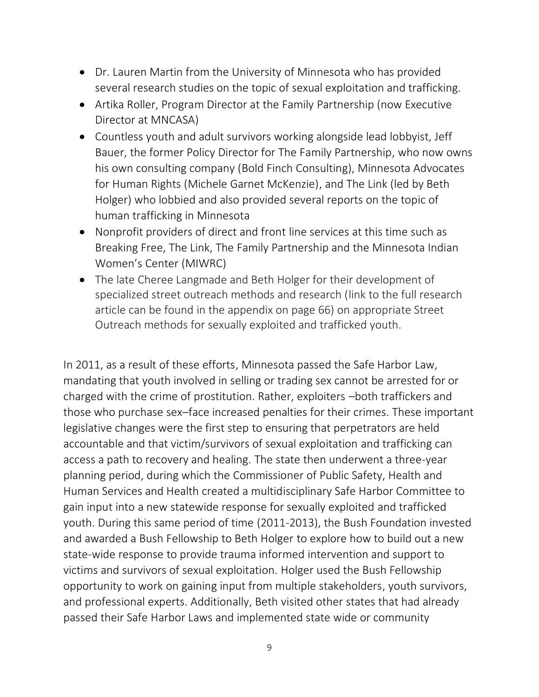- Dr. Lauren Martin from the University of Minnesota who has provided several research studies on the topic of sexual exploitation and trafficking.
- Artika Roller, Program Director at the Family Partnership (now Executive Director at MNCASA)
- Countless youth and adult survivors working alongside lead lobbyist, Jeff Bauer, the former Policy Director for The Family Partnership, who now owns his own consulting company (Bold Finch Consulting), Minnesota Advocates for Human Rights (Michele Garnet McKenzie), and The Link (led by Beth Holger) who lobbied and also provided several reports on the topic of human trafficking in Minnesota
- Nonprofit providers of direct and front line services at this time such as Breaking Free, The Link, The Family Partnership and the Minnesota Indian Women's Center (MIWRC)
- The late Cheree Langmade and Beth Holger for their development of specialized street outreach methods and research (link to the full research article can be found in the appendix on page 66) on appropriate Street Outreach methods for sexually exploited and trafficked youth.

In 2011, as a result of these efforts, Minnesota passed the Safe Harbor Law, mandating that youth involved in selling or trading sex cannot be arrested for or charged with the crime of prostitution. Rather, exploiters –both traffickers and those who purchase sex–face increased penalties for their crimes. These important legislative changes were the first step to ensuring that perpetrators are held accountable and that victim/survivors of sexual exploitation and trafficking can access a path to recovery and healing. The state then underwent a three-year planning period, during which the Commissioner of Public Safety, Health and Human Services and Health created a multidisciplinary Safe Harbor Committee to gain input into a new statewide response for sexually exploited and trafficked youth. During this same period of time (2011-2013), the Bush Foundation invested and awarded a Bush Fellowship to Beth Holger to explore how to build out a new state-wide response to provide trauma informed intervention and support to victims and survivors of sexual exploitation. Holger used the Bush Fellowship opportunity to work on gaining input from multiple stakeholders, youth survivors, and professional experts. Additionally, Beth visited other states that had already passed their Safe Harbor Laws and implemented state wide or community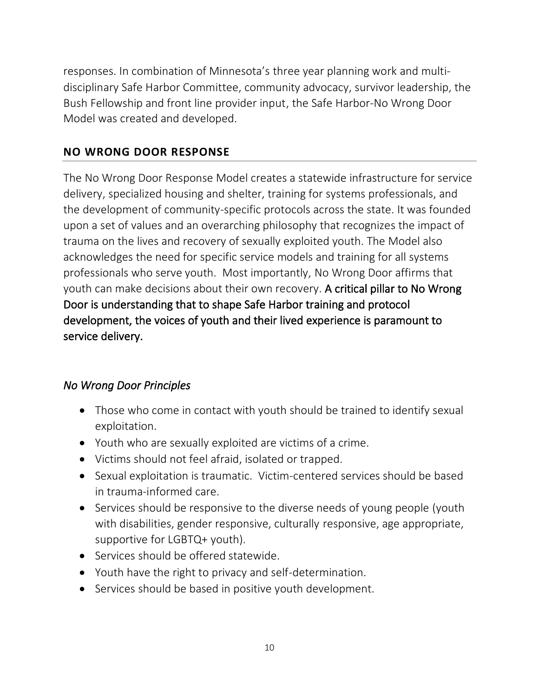responses. In combination of Minnesota's three year planning work and multidisciplinary Safe Harbor Committee, community advocacy, survivor leadership, the Bush Fellowship and front line provider input, the Safe Harbor-No Wrong Door Model was created and developed.

#### <span id="page-9-1"></span><span id="page-9-0"></span>**NO WRONG DOOR RESPONSE**

The No Wrong Door Response Model creates a statewide infrastructure for service delivery, specialized housing and shelter, training for systems professionals, and the development of community-specific protocols across the state. It was founded upon a set of values and an overarching philosophy that recognizes the impact of trauma on the lives and recovery of sexually exploited youth. The Model also acknowledges the need for specific service models and training for all systems professionals who serve youth. Most importantly, No Wrong Door affirms that youth can make decisions about their own recovery. A critical pillar to No Wrong Door is understanding that to shape Safe Harbor training and protocol development, the voices of youth and their lived experience is paramount to service delivery.

#### *No Wrong Door Principles*

- Those who come in contact with youth should be trained to identify sexual exploitation.
- Youth who are sexually exploited are victims of a crime.
- Victims should not feel afraid, isolated or trapped.
- Sexual exploitation is traumatic. Victim-centered services should be based in trauma-informed care.
- Services should be responsive to the diverse needs of young people (youth with disabilities, gender responsive, culturally responsive, age appropriate, supportive for LGBTQ+ youth).
- Services should be offered statewide.
- Youth have the right to privacy and self-determination.
- Services should be based in positive youth development.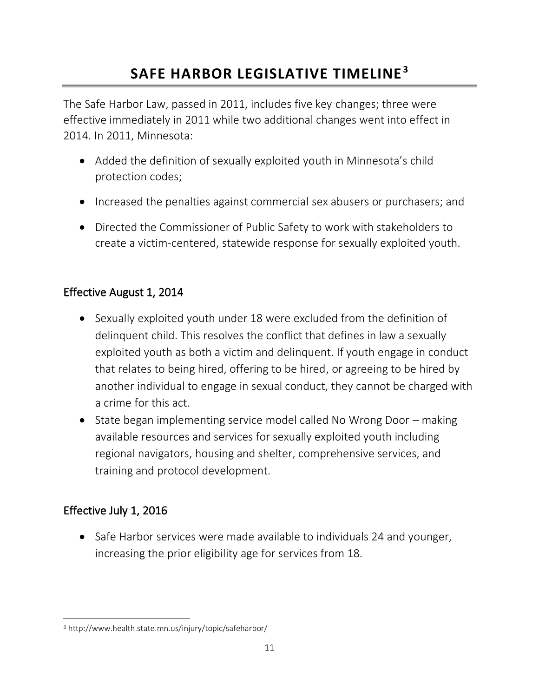## <span id="page-10-2"></span>**SAFE HARBOR LEGISLATIVE TIMELINE <sup>3</sup>**

<span id="page-10-0"></span>The Safe Harbor Law, passed in 2011, includes five key changes; three were effective immediately in 2011 while two additional changes went into effect in 2014. In 2011, Minnesota:

- Added the definition of sexually exploited youth in Minnesota's child protection codes;
- Increased the penalties against commercial sex abusers or purchasers; and
- Directed the Commissioner of Public Safety to work with stakeholders to create a victim-centered, statewide response for sexually exploited youth.

#### Effective August 1, 2014

- Sexually exploited youth under 18 were excluded from the definition of delinquent child. This resolves the conflict that defines in law a sexually exploited youth as both a victim and delinquent. If youth engage in conduct that relates to being hired, offering to be hired, or agreeing to be hired by another individual to engage in sexual conduct, they cannot be charged with a crime for this act.
- State began implementing service model called No Wrong Door making available resources and services for sexually exploited youth including regional navigators, housing and shelter, comprehensive services, and training and protocol development.

#### Effective July 1, 2016

<span id="page-10-1"></span>• Safe Harbor services were made available to individuals 24 and younger, increasing the prior eligibility age for services from 18.

<sup>3</sup> http://www.health.state.mn.us/injury/topic/safeharbor/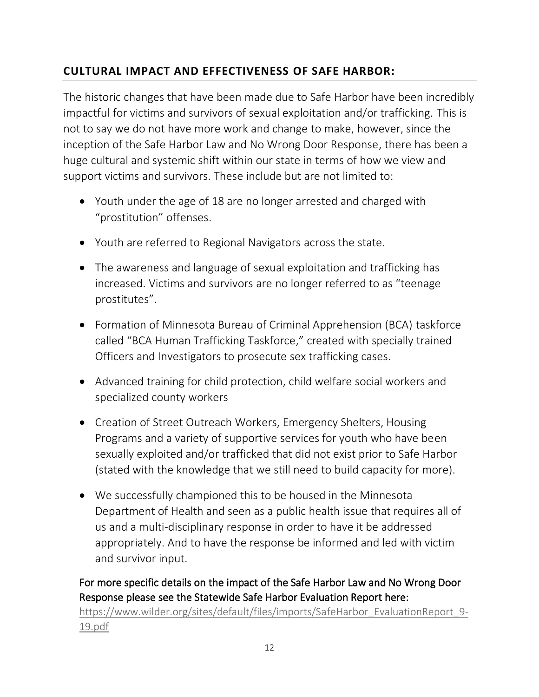#### <span id="page-11-0"></span>**CULTURAL IMPACT AND EFFECTIVENESS OF SAFE HARBOR:**

The historic changes that have been made due to Safe Harbor have been incredibly impactful for victims and survivors of sexual exploitation and/or trafficking. This is not to say we do not have more work and change to make, however, since the inception of the Safe Harbor Law and No Wrong Door Response, there has been a huge cultural and systemic shift within our state in terms of how we view and support victims and survivors. These include but are not limited to:

- Youth under the age of 18 are no longer arrested and charged with "prostitution" offenses.
- Youth are referred to Regional Navigators across the state.
- The awareness and language of sexual exploitation and trafficking has increased. Victims and survivors are no longer referred to as "teenage prostitutes".
- Formation of Minnesota Bureau of Criminal Apprehension (BCA) taskforce called "BCA Human Trafficking Taskforce," created with specially trained Officers and Investigators to prosecute sex trafficking cases.
- Advanced training for child protection, child welfare social workers and specialized county workers
- Creation of Street Outreach Workers, Emergency Shelters, Housing Programs and a variety of supportive services for youth who have been sexually exploited and/or trafficked that did not exist prior to Safe Harbor (stated with the knowledge that we still need to build capacity for more).
- We successfully championed this to be housed in the Minnesota Department of Health and seen as a public health issue that requires all of us and a multi-disciplinary response in order to have it be addressed appropriately. And to have the response be informed and led with victim and survivor input.

#### For more specific details on the impact of the Safe Harbor Law and No Wrong Door Response please see the Statewide Safe Harbor Evaluation Report here:

[https://www.wilder.org/sites/default/files/imports/SafeHarbor\\_EvaluationReport\\_9-](https://www.wilder.org/sites/default/files/imports/SafeHarbor_EvaluationReport_9-19.pdf) [19.pdf](https://www.wilder.org/sites/default/files/imports/SafeHarbor_EvaluationReport_9-19.pdf)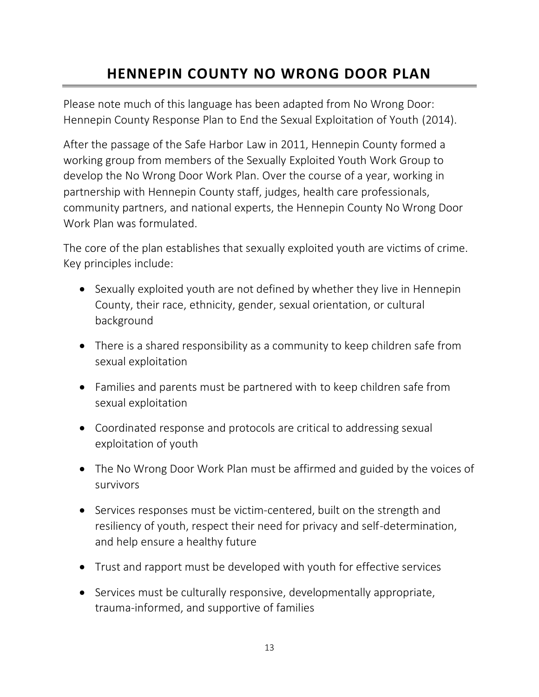## <span id="page-12-1"></span>**HENNEPIN COUNTY NO WRONG DOOR PLAN**

<span id="page-12-0"></span>Please note much of this language has been adapted from No Wrong Door: Hennepin County Response Plan to End the Sexual Exploitation of Youth (2014).

After the passage of the Safe Harbor Law in 2011, Hennepin County formed a working group from members of the Sexually Exploited Youth Work Group to develop the No Wrong Door Work Plan. Over the course of a year, working in partnership with Hennepin County staff, judges, health care professionals, community partners, and national experts, the Hennepin County No Wrong Door Work Plan was formulated.

The core of the plan establishes that sexually exploited youth are victims of crime. Key principles include:

- Sexually exploited youth are not defined by whether they live in Hennepin County, their race, ethnicity, gender, sexual orientation, or cultural background
- There is a shared responsibility as a community to keep children safe from sexual exploitation
- Families and parents must be partnered with to keep children safe from sexual exploitation
- Coordinated response and protocols are critical to addressing sexual exploitation of youth
- The No Wrong Door Work Plan must be affirmed and guided by the voices of survivors
- Services responses must be victim-centered, built on the strength and resiliency of youth, respect their need for privacy and self-determination, and help ensure a healthy future
- Trust and rapport must be developed with youth for effective services
- Services must be culturally responsive, developmentally appropriate, trauma-informed, and supportive of families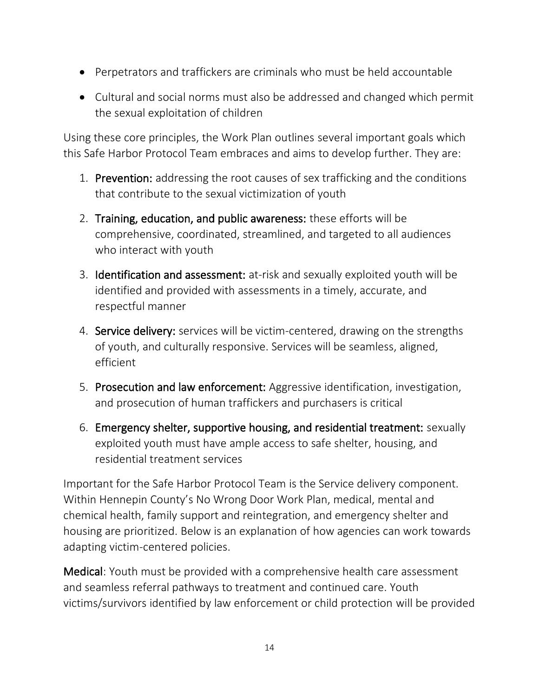- Perpetrators and traffickers are criminals who must be held accountable
- Cultural and social norms must also be addressed and changed which permit the sexual exploitation of children

Using these core principles, the Work Plan outlines several important goals which this Safe Harbor Protocol Team embraces and aims to develop further. They are:

- 1. Prevention: addressing the root causes of sex trafficking and the conditions that contribute to the sexual victimization of youth
- 2. Training, education, and public awareness: these efforts will be comprehensive, coordinated, streamlined, and targeted to all audiences who interact with youth
- 3. Identification and assessment: at-risk and sexually exploited youth will be identified and provided with assessments in a timely, accurate, and respectful manner
- 4. Service delivery: services will be victim-centered, drawing on the strengths of youth, and culturally responsive. Services will be seamless, aligned, efficient
- 5. Prosecution and law enforcement: Aggressive identification, investigation, and prosecution of human traffickers and purchasers is critical
- 6. Emergency shelter, supportive housing, and residential treatment: sexually exploited youth must have ample access to safe shelter, housing, and residential treatment services

Important for the Safe Harbor Protocol Team is the Service delivery component. Within Hennepin County's No Wrong Door Work Plan, medical, mental and chemical health, family support and reintegration, and emergency shelter and housing are prioritized. Below is an explanation of how agencies can work towards adapting victim-centered policies.

Medical: Youth must be provided with a comprehensive health care assessment and seamless referral pathways to treatment and continued care. Youth victims/survivors identified by law enforcement or child protection will be provided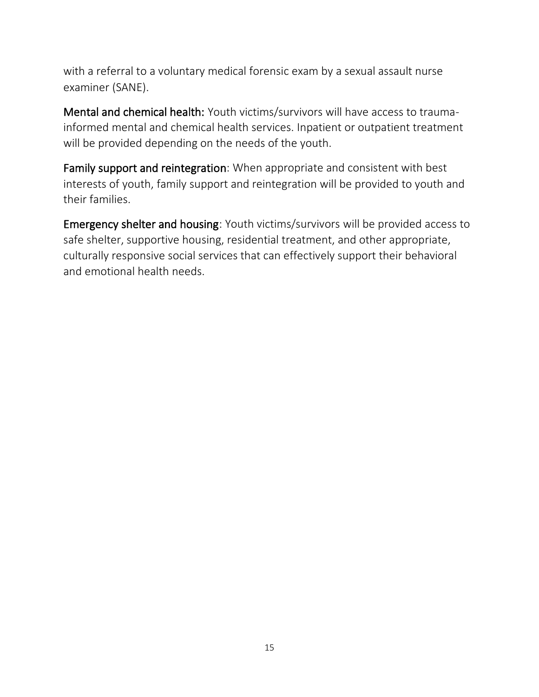with a referral to a voluntary medical forensic exam by a sexual assault nurse examiner (SANE).

Mental and chemical health: Youth victims/survivors will have access to traumainformed mental and chemical health services. Inpatient or outpatient treatment will be provided depending on the needs of the youth.

Family support and reintegration: When appropriate and consistent with best interests of youth, family support and reintegration will be provided to youth and their families.

Emergency shelter and housing: Youth victims/survivors will be provided access to safe shelter, supportive housing, residential treatment, and other appropriate, culturally responsive social services that can effectively support their behavioral and emotional health needs.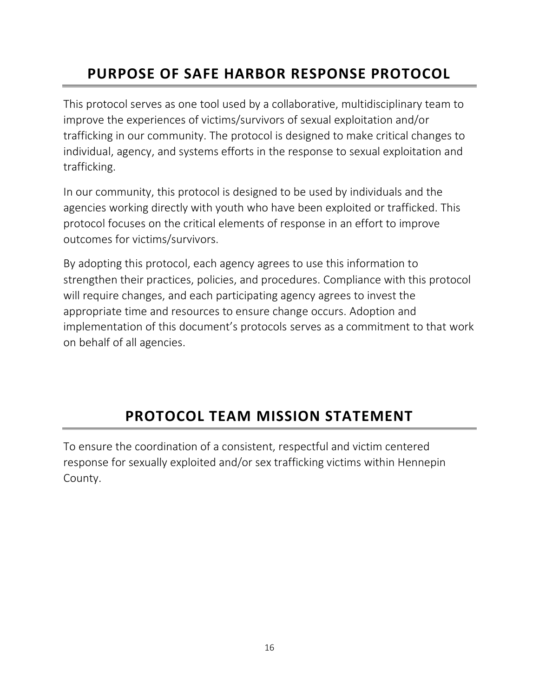## <span id="page-15-2"></span><span id="page-15-0"></span>**PURPOSE OF SAFE HARBOR RESPONSE PROTOCOL**

This protocol serves as one tool used by a collaborative, multidisciplinary team to improve the experiences of victims/survivors of sexual exploitation and/or trafficking in our community. The protocol is designed to make critical changes to individual, agency, and systems efforts in the response to sexual exploitation and trafficking.

In our community, this protocol is designed to be used by individuals and the agencies working directly with youth who have been exploited or trafficked. This protocol focuses on the critical elements of response in an effort to improve outcomes for victims/survivors.

By adopting this protocol, each agency agrees to use this information to strengthen their practices, policies, and procedures. Compliance with this protocol will require changes, and each participating agency agrees to invest the appropriate time and resources to ensure change occurs. Adoption and implementation of this document's protocols serves as a commitment to that work on behalf of all agencies.

## <span id="page-15-3"></span>**PROTOCOL TEAM MISSION STATEMENT**

<span id="page-15-1"></span>To ensure the coordination of a consistent, respectful and victim centered response for sexually exploited and/or sex trafficking victims within Hennepin County.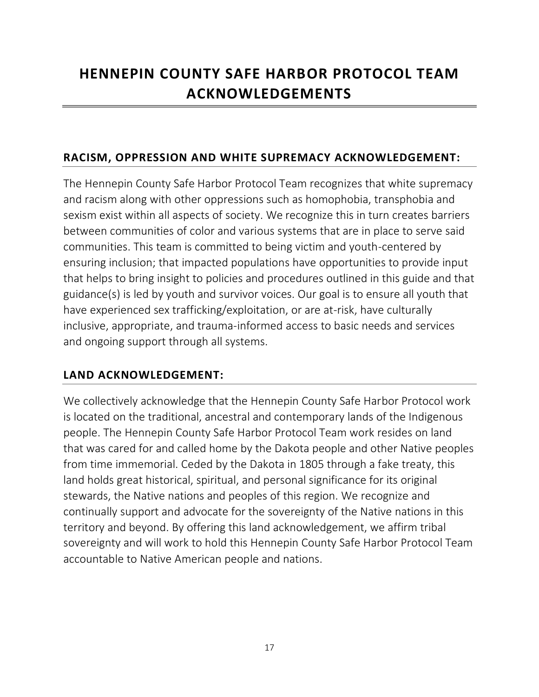## <span id="page-16-5"></span><span id="page-16-4"></span><span id="page-16-0"></span>**HENNEPIN COUNTY SAFE HARBOR PROTOCOL TEAM ACKNOWLEDGEMENTS**

#### <span id="page-16-1"></span>**RACISM, OPPRESSION AND WHITE SUPREMACY ACKNOWLEDGEMENT:**

The Hennepin County Safe Harbor Protocol Team recognizes that white supremacy and racism along with other oppressions such as homophobia, transphobia and sexism exist within all aspects of society. We recognize this in turn creates barriers between communities of color and various systems that are in place to serve said communities. This team is committed to being victim and youth-centered by ensuring inclusion; that impacted populations have opportunities to provide input that helps to bring insight to policies and procedures outlined in this guide and that guidance(s) is led by youth and survivor voices. Our goal is to ensure all youth that have experienced sex trafficking/exploitation, or are at-risk, have culturally inclusive, appropriate, and trauma-informed access to basic needs and services and ongoing support through all systems.

#### <span id="page-16-6"></span><span id="page-16-2"></span>**LAND ACKNOWLEDGEMENT:**

<span id="page-16-3"></span>We collectively acknowledge that the Hennepin County Safe Harbor Protocol work is located on the traditional, ancestral and contemporary lands of the Indigenous people. The Hennepin County Safe Harbor Protocol Team work resides on land that was cared for and called home by the Dakota people and other Native peoples from time immemorial. Ceded by the Dakota in 1805 through a fake treaty, this land holds great historical, spiritual, and personal significance for its original stewards, the Native nations and peoples of this region. We recognize and continually support and advocate for the sovereignty of the Native nations in this territory and beyond. By offering this land acknowledgement, we affirm tribal sovereignty and will work to hold this Hennepin County Safe Harbor Protocol Team accountable to Native American people and nations.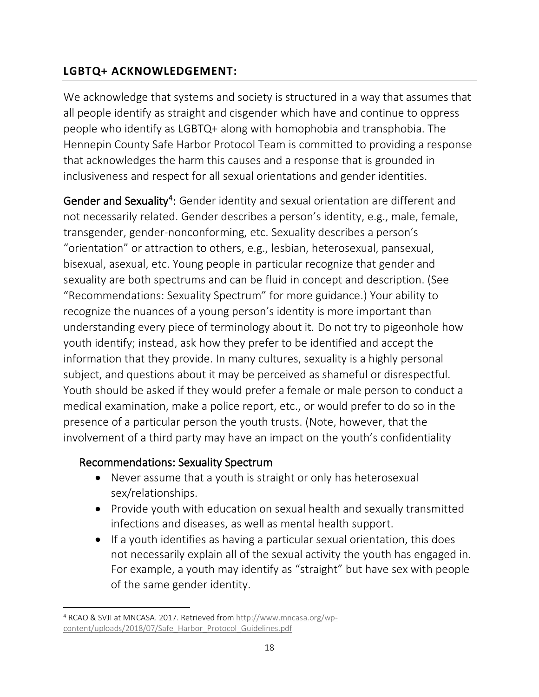#### <span id="page-17-0"></span>**LGBTQ+ ACKNOWLEDGEMENT:**

We acknowledge that systems and society is structured in a way that assumes that all people identify as straight and cisgender which have and continue to oppress people who identify as LGBTQ+ along with homophobia and transphobia. The Hennepin County Safe Harbor Protocol Team is committed to providing a response that acknowledges the harm this causes and a response that is grounded in inclusiveness and respect for all sexual orientations and gender identities.

Gender and Sexuality<sup>4</sup>: Gender identity and sexual orientation are different and not necessarily related. Gender describes a person's identity, e.g., male, female, transgender, gender-nonconforming, etc. Sexuality describes a person's "orientation" or attraction to others, e.g., lesbian, heterosexual, pansexual, bisexual, asexual, etc. Young people in particular recognize that gender and sexuality are both spectrums and can be fluid in concept and description. (See "Recommendations: Sexuality Spectrum" for more guidance.) Your ability to recognize the nuances of a young person's identity is more important than understanding every piece of terminology about it. Do not try to pigeonhole how youth identify; instead, ask how they prefer to be identified and accept the information that they provide. In many cultures, sexuality is a highly personal subject, and questions about it may be perceived as shameful or disrespectful. Youth should be asked if they would prefer a female or male person to conduct a medical examination, make a police report, etc., or would prefer to do so in the presence of a particular person the youth trusts. (Note, however, that the involvement of a third party may have an impact on the youth's confidentiality

#### Recommendations: Sexuality Spectrum

- Never assume that a youth is straight or only has heterosexual sex/relationships.
- Provide youth with education on sexual health and sexually transmitted infections and diseases, as well as mental health support.
- If a youth identifies as having a particular sexual orientation, this does not necessarily explain all of the sexual activity the youth has engaged in. For example, a youth may identify as "straight" but have sex with people of the same gender identity.

<sup>4</sup> RCAO & SVJI at MNCASA. 2017. Retrieved from [http://www.mncasa.org/wp](http://www.mncasa.org/wp-content/uploads/2018/07/Safe_Harbor_Protocol_Guidelines.pdf)[content/uploads/2018/07/Safe\\_Harbor\\_Protocol\\_Guidelines.pdf](http://www.mncasa.org/wp-content/uploads/2018/07/Safe_Harbor_Protocol_Guidelines.pdf)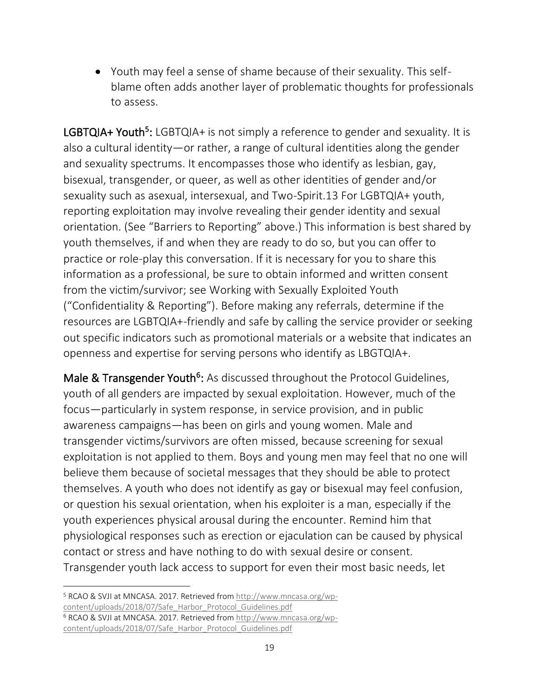• Youth may feel a sense of shame because of their sexuality. This selfblame often adds another layer of problematic thoughts for professionals to assess.

LGBTQIA+ Youth<sup>5</sup>: LGBTQIA+ is not simply a reference to gender and sexuality. It is also a cultural identity—or rather, a range of cultural identities along the gender and sexuality spectrums. It encompasses those who identify as lesbian, gay, bisexual, transgender, or queer, as well as other identities of gender and/or sexuality such as asexual, intersexual, and Two-Spirit.13 For LGBTQIA+ youth, reporting exploitation may involve revealing their gender identity and sexual orientation. (See "Barriers to Reporting" above.) This information is best shared by youth themselves, if and when they are ready to do so, but you can offer to practice or role-play this conversation. If it is necessary for you to share this information as a professional, be sure to obtain informed and written consent from the victim/survivor; see Working with Sexually Exploited Youth ("Confidentiality & Reporting"). Before making any referrals, determine if the resources are LGBTQIA+-friendly and safe by calling the service provider or seeking out specific indicators such as promotional materials or a website that indicates an openness and expertise for serving persons who identify as LBGTQIA+.

Male & Transgender Youth<sup>6</sup>: As discussed throughout the Protocol Guidelines, youth of all genders are impacted by sexual exploitation. However, much of the focus—particularly in system response, in service provision, and in public awareness campaigns—has been on girls and young women. Male and transgender victims/survivors are often missed, because screening for sexual exploitation is not applied to them. Boys and young men may feel that no one will believe them because of societal messages that they should be able to protect themselves. A youth who does not identify as gay or bisexual may feel confusion, or question his sexual orientation, when his exploiter is a man, especially if the youth experiences physical arousal during the encounter. Remind him that physiological responses such as erection or ejaculation can be caused by physical contact or stress and have nothing to do with sexual desire or consent. Transgender youth lack access to support for even their most basic needs, let

<sup>5</sup> RCAO & SVJI at MNCASA. 2017. Retrieved from [http://www.mncasa.org/wp](http://www.mncasa.org/wp-content/uploads/2018/07/Safe_Harbor_Protocol_Guidelines.pdf)[content/uploads/2018/07/Safe\\_Harbor\\_Protocol\\_Guidelines.pdf](http://www.mncasa.org/wp-content/uploads/2018/07/Safe_Harbor_Protocol_Guidelines.pdf)

<sup>6</sup> RCAO & SVJI at MNCASA. 2017. Retrieved from [http://www.mncasa.org/wp](http://www.mncasa.org/wp-content/uploads/2018/07/Safe_Harbor_Protocol_Guidelines.pdf)[content/uploads/2018/07/Safe\\_Harbor\\_Protocol\\_Guidelines.pdf](http://www.mncasa.org/wp-content/uploads/2018/07/Safe_Harbor_Protocol_Guidelines.pdf)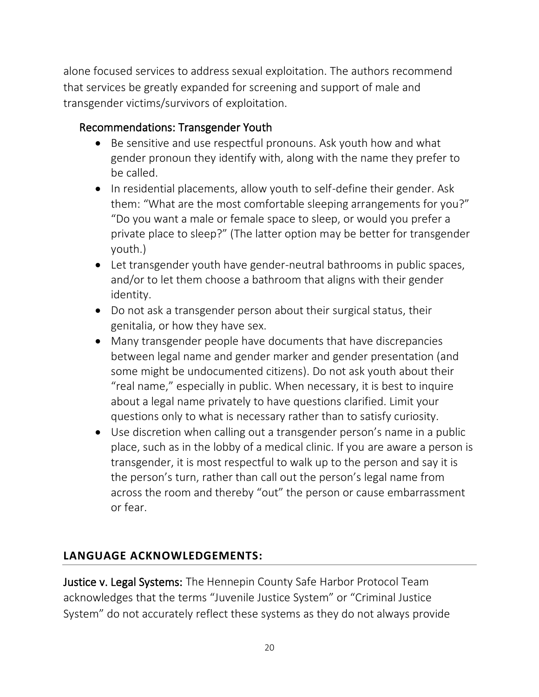alone focused services to address sexual exploitation. The authors recommend that services be greatly expanded for screening and support of male and transgender victims/survivors of exploitation.

#### Recommendations: Transgender Youth

- Be sensitive and use respectful pronouns. Ask youth how and what gender pronoun they identify with, along with the name they prefer to be called.
- In residential placements, allow youth to self-define their gender. Ask them: "What are the most comfortable sleeping arrangements for you?" "Do you want a male or female space to sleep, or would you prefer a private place to sleep?" (The latter option may be better for transgender youth.)
- Let transgender youth have gender-neutral bathrooms in public spaces, and/or to let them choose a bathroom that aligns with their gender identity.
- Do not ask a transgender person about their surgical status, their genitalia, or how they have sex.
- Many transgender people have documents that have discrepancies between legal name and gender marker and gender presentation (and some might be undocumented citizens). Do not ask youth about their "real name," especially in public. When necessary, it is best to inquire about a legal name privately to have questions clarified. Limit your questions only to what is necessary rather than to satisfy curiosity.
- Use discretion when calling out a transgender person's name in a public place, such as in the lobby of a medical clinic. If you are aware a person is transgender, it is most respectful to walk up to the person and say it is the person's turn, rather than call out the person's legal name from across the room and thereby "out" the person or cause embarrassment or fear.

#### <span id="page-19-1"></span><span id="page-19-0"></span>**LANGUAGE ACKNOWLEDGEMENTS:**

Justice v. Legal Systems: The Hennepin County Safe Harbor Protocol Team acknowledges that the terms "Juvenile Justice System" or "Criminal Justice System" do not accurately reflect these systems as they do not always provide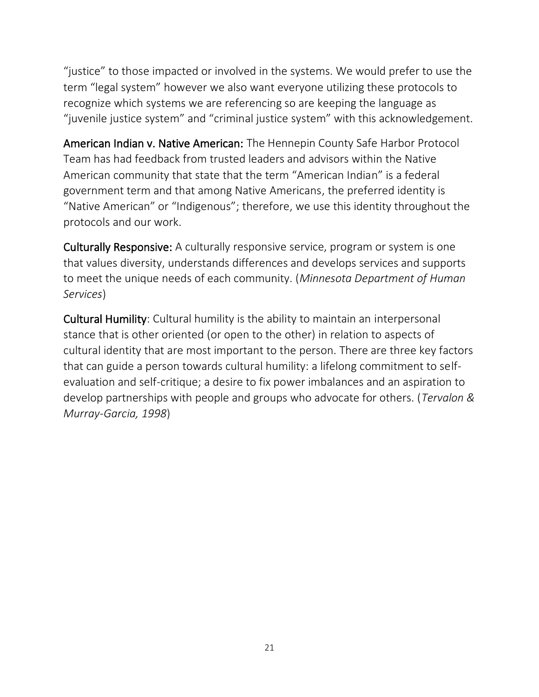"justice" to those impacted or involved in the systems. We would prefer to use the term "legal system" however we also want everyone utilizing these protocols to recognize which systems we are referencing so are keeping the language as "juvenile justice system" and "criminal justice system" with this acknowledgement.

American Indian v. Native American: The Hennepin County Safe Harbor Protocol Team has had feedback from trusted leaders and advisors within the Native American community that state that the term "American Indian" is a federal government term and that among Native Americans, the preferred identity is "Native American" or "Indigenous"; therefore, we use this identity throughout the protocols and our work.

Culturally Responsive: A culturally responsive service, program or system is one that values diversity, understands differences and develops services and supports to meet the unique needs of each community. (*Minnesota Department of Human Services*)

Cultural Humility: Cultural humility is the ability to maintain an interpersonal stance that is other oriented (or open to the other) in relation to aspects of cultural identity that are most important to the person. There are three key factors that can guide a person towards cultural humility: a lifelong commitment to selfevaluation and self-critique; a desire to fix power imbalances and an aspiration to develop partnerships with people and groups who advocate for others. (*Tervalon & Murray-Garcia, 1998*)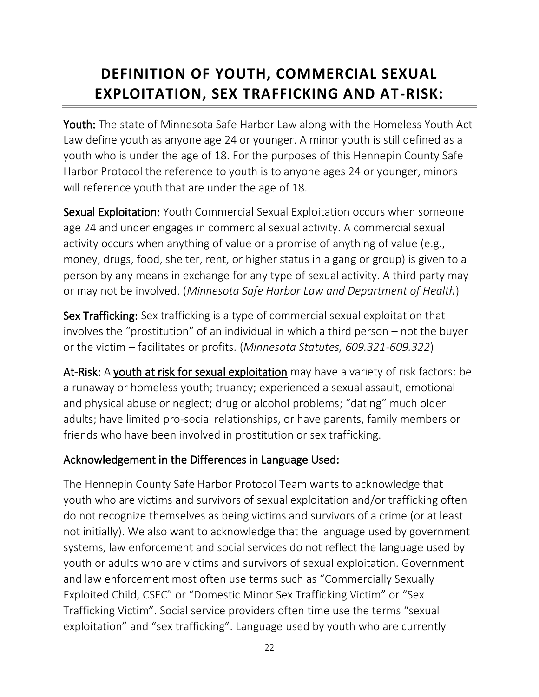## <span id="page-21-1"></span><span id="page-21-0"></span>**DEFINITION OF YOUTH, COMMERCIAL SEXUAL EXPLOITATION, SEX TRAFFICKING AND AT-RISK:**

Youth: The state of Minnesota Safe Harbor Law along with the Homeless Youth Act Law define youth as anyone age 24 or younger. A minor youth is still defined as a youth who is under the age of 18. For the purposes of this Hennepin County Safe Harbor Protocol the reference to youth is to anyone ages 24 or younger, minors will reference youth that are under the age of 18.

Sexual Exploitation: Youth Commercial Sexual Exploitation occurs when someone age 24 and under engages in commercial sexual activity. A commercial sexual activity occurs when anything of value or a promise of anything of value (e.g., money, drugs, food, shelter, rent, or higher status in a gang or group) is given to a person by any means in exchange for any type of sexual activity. A third party may or may not be involved. (*Minnesota Safe Harbor Law and Department of Health*)

Sex Trafficking: Sex trafficking is a type of commercial sexual exploitation that involves the "prostitution" of an individual in which a third person – not the buyer or the victim – facilitates or profits. (*Minnesota Statutes, 609.321-609.322*)

At-Risk: A youth at risk for sexual exploitation may have a variety of risk factors: be a runaway or homeless youth; truancy; experienced a sexual assault, emotional and physical abuse or neglect; drug or alcohol problems; "dating" much older adults; have limited pro-social relationships, or have parents, family members or friends who have been involved in prostitution or sex trafficking.

#### Acknowledgement in the Differences in Language Used:

The Hennepin County Safe Harbor Protocol Team wants to acknowledge that youth who are victims and survivors of sexual exploitation and/or trafficking often do not recognize themselves as being victims and survivors of a crime (or at least not initially). We also want to acknowledge that the language used by government systems, law enforcement and social services do not reflect the language used by youth or adults who are victims and survivors of sexual exploitation. Government and law enforcement most often use terms such as "Commercially Sexually Exploited Child, CSEC" or "Domestic Minor Sex Trafficking Victim" or "Sex Trafficking Victim". Social service providers often time use the terms "sexual exploitation" and "sex trafficking". Language used by youth who are currently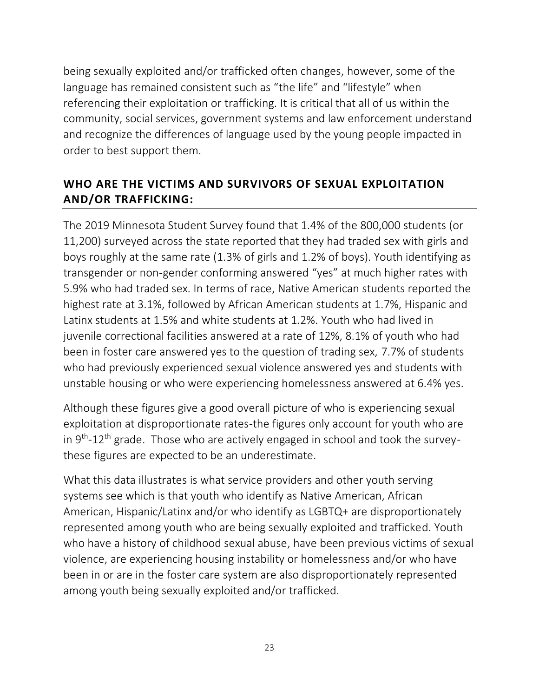being sexually exploited and/or trafficked often changes, however, some of the language has remained consistent such as "the life" and "lifestyle" when referencing their exploitation or trafficking. It is critical that all of us within the community, social services, government systems and law enforcement understand and recognize the differences of language used by the young people impacted in order to best support them.

#### <span id="page-22-1"></span><span id="page-22-0"></span>**WHO ARE THE VICTIMS AND SURVIVORS OF SEXUAL EXPLOITATION AND/OR TRAFFICKING:**

The 2019 Minnesota Student Survey found that 1.4% of the 800,000 students (or 11,200) surveyed across the state reported that they had traded sex with girls and boys roughly at the same rate (1.3% of girls and 1.2% of boys). Youth identifying as transgender or non-gender conforming answered "yes" at much higher rates with 5.9% who had traded sex. In terms of race, Native American students reported the highest rate at 3.1%, followed by African American students at 1.7%, Hispanic and Latinx students at 1.5% and white students at 1.2%. Youth who had lived in juvenile correctional facilities answered at a rate of 12%, 8.1% of youth who had been in foster care answered yes to the question of trading sex, 7.7% of students who had previously experienced sexual violence answered yes and students with unstable housing or who were experiencing homelessness answered at 6.4% yes.

Although these figures give a good overall picture of who is experiencing sexual exploitation at disproportionate rates-the figures only account for youth who are in 9<sup>th</sup>-12<sup>th</sup> grade. Those who are actively engaged in school and took the surveythese figures are expected to be an underestimate.

What this data illustrates is what service providers and other youth serving systems see which is that youth who identify as Native American, African American, Hispanic/Latinx and/or who identify as LGBTQ+ are disproportionately represented among youth who are being sexually exploited and trafficked. Youth who have a history of childhood sexual abuse, have been previous victims of sexual violence, are experiencing housing instability or homelessness and/or who have been in or are in the foster care system are also disproportionately represented among youth being sexually exploited and/or trafficked.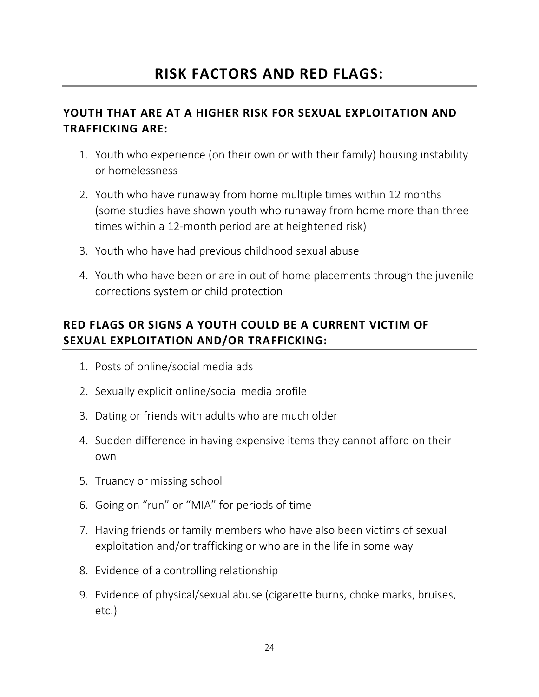#### <span id="page-23-1"></span><span id="page-23-0"></span>**YOUTH THAT ARE AT A HIGHER RISK FOR SEXUAL EXPLOITATION AND TRAFFICKING ARE:**

- <span id="page-23-4"></span><span id="page-23-3"></span>1. Youth who experience (on their own or with their family) housing instability or homelessness
- 2. Youth who have runaway from home multiple times within 12 months (some studies have shown youth who runaway from home more than three times within a 12-month period are at heightened risk)
- 3. Youth who have had previous childhood sexual abuse
- 4. Youth who have been or are in out of home placements through the juvenile corrections system or child protection

#### <span id="page-23-2"></span>**RED FLAGS OR SIGNS A YOUTH COULD BE A CURRENT VICTIM OF SEXUAL EXPLOITATION AND/OR TRAFFICKING:**

- <span id="page-23-5"></span>1. Posts of online/social media ads
- 2. Sexually explicit online/social media profile
- 3. Dating or friends with adults who are much older
- 4. Sudden difference in having expensive items they cannot afford on their own
- 5. Truancy or missing school
- 6. Going on "run" or "MIA" for periods of time
- 7. Having friends or family members who have also been victims of sexual exploitation and/or trafficking or who are in the life in some way
- 8. Evidence of a controlling relationship
- 9. Evidence of physical/sexual abuse (cigarette burns, choke marks, bruises, etc.)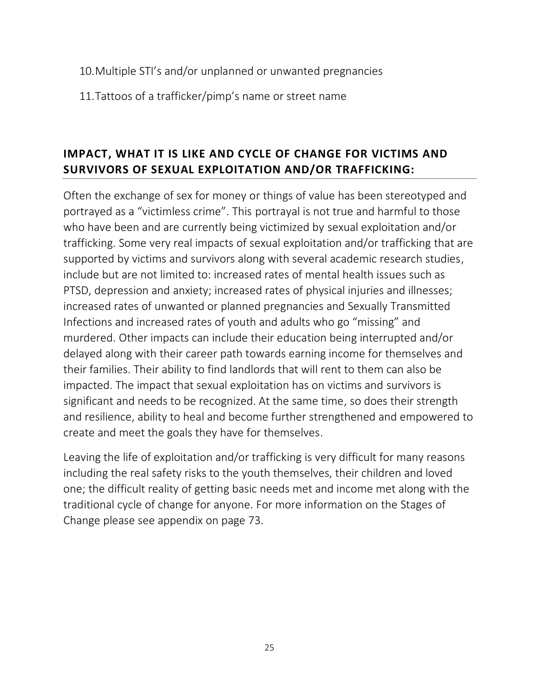10.Multiple STI's and/or unplanned or unwanted pregnancies

<span id="page-24-2"></span>11.Tattoos of a trafficker/pimp's name or street name

#### <span id="page-24-0"></span>**IMPACT, WHAT IT IS LIKE AND CYCLE OF CHANGE FOR VICTIMS AND SURVIVORS OF SEXUAL EXPLOITATION AND/OR TRAFFICKING:**

Often the exchange of sex for money or things of value has been stereotyped and portrayed as a "victimless crime". This portrayal is not true and harmful to those who have been and are currently being victimized by sexual exploitation and/or trafficking. Some very real impacts of sexual exploitation and/or trafficking that are supported by victims and survivors along with several academic research studies, include but are not limited to: increased rates of mental health issues such as PTSD, depression and anxiety; increased rates of physical injuries and illnesses; increased rates of unwanted or planned pregnancies and Sexually Transmitted Infections and increased rates of youth and adults who go "missing" and murdered. Other impacts can include their education being interrupted and/or delayed along with their career path towards earning income for themselves and their families. Their ability to find landlords that will rent to them can also be impacted. The impact that sexual exploitation has on victims and survivors is significant and needs to be recognized. At the same time, so does their strength and resilience, ability to heal and become further strengthened and empowered to create and meet the goals they have for themselves.

<span id="page-24-1"></span>Leaving the life of exploitation and/or trafficking is very difficult for many reasons including the real safety risks to the youth themselves, their children and loved one; the difficult reality of getting basic needs met and income met along with the traditional cycle of change for anyone. For more information on the Stages of Change please see appendix on page 73.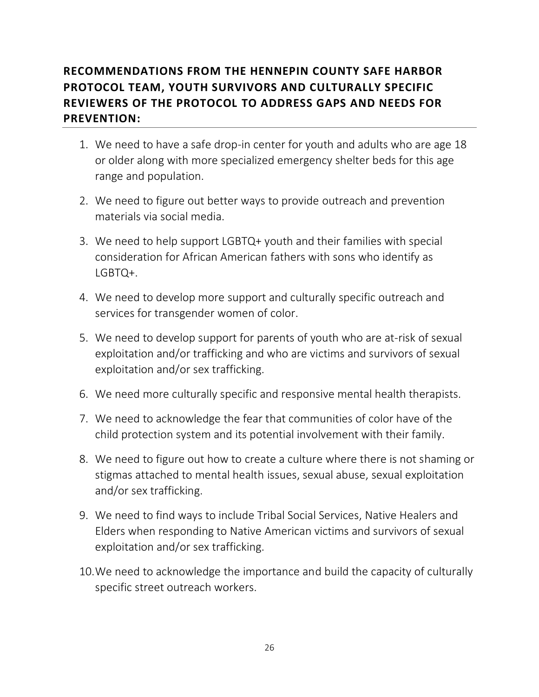#### **RECOMMENDATIONS FROM THE HENNEPIN COUNTY SAFE HARBOR PROTOCOL TEAM, YOUTH SURVIVORS AND CULTURALLY SPECIFIC REVIEWERS OF THE PROTOCOL TO ADDRESS GAPS AND NEEDS FOR PREVENTION:**

- <span id="page-25-0"></span>1. We need to have a safe drop-in center for youth and adults who are age 18 or older along with more specialized emergency shelter beds for this age range and population.
- 2. We need to figure out better ways to provide outreach and prevention materials via social media.
- 3. We need to help support LGBTQ+ youth and their families with special consideration for African American fathers with sons who identify as LGBTQ+.
- 4. We need to develop more support and culturally specific outreach and services for transgender women of color.
- 5. We need to develop support for parents of youth who are at-risk of sexual exploitation and/or trafficking and who are victims and survivors of sexual exploitation and/or sex trafficking.
- 6. We need more culturally specific and responsive mental health therapists.
- 7. We need to acknowledge the fear that communities of color have of the child protection system and its potential involvement with their family.
- 8. We need to figure out how to create a culture where there is not shaming or stigmas attached to mental health issues, sexual abuse, sexual exploitation and/or sex trafficking.
- 9. We need to find ways to include Tribal Social Services, Native Healers and Elders when responding to Native American victims and survivors of sexual exploitation and/or sex trafficking.
- 10.We need to acknowledge the importance and build the capacity of culturally specific street outreach workers.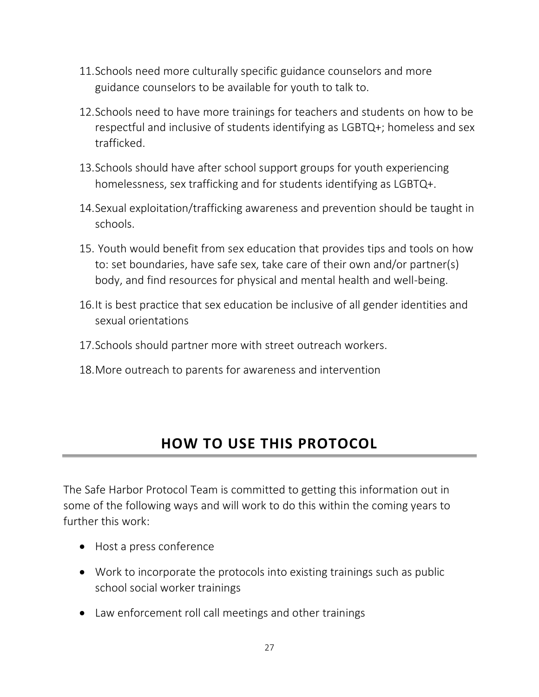- 11.Schools need more culturally specific guidance counselors and more guidance counselors to be available for youth to talk to.
- 12.Schools need to have more trainings for teachers and students on how to be respectful and inclusive of students identifying as LGBTQ+; homeless and sex trafficked.
- 13.Schools should have after school support groups for youth experiencing homelessness, sex trafficking and for students identifying as LGBTQ+.
- 14.Sexual exploitation/trafficking awareness and prevention should be taught in schools.
- 15. Youth would benefit from sex education that provides tips and tools on how to: set boundaries, have safe sex, take care of their own and/or partner(s) body, and find resources for physical and mental health and well-being.
- 16.It is best practice that sex education be inclusive of all gender identities and sexual orientations
- 17.Schools should partner more with street outreach workers.
- <span id="page-26-0"></span>18.More outreach to parents for awareness and intervention

## <span id="page-26-1"></span>**HOW TO USE THIS PROTOCOL**

The Safe Harbor Protocol Team is committed to getting this information out in some of the following ways and will work to do this within the coming years to further this work:

- Host a press conference
- Work to incorporate the protocols into existing trainings such as public school social worker trainings
- Law enforcement roll call meetings and other trainings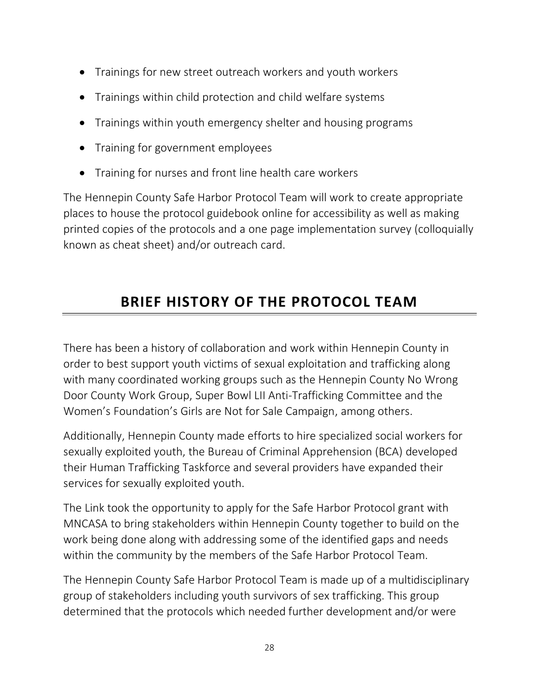- Trainings for new street outreach workers and youth workers
- Trainings within child protection and child welfare systems
- Trainings within youth emergency shelter and housing programs
- Training for government employees
- Training for nurses and front line health care workers

The Hennepin County Safe Harbor Protocol Team will work to create appropriate places to house the protocol guidebook online for accessibility as well as making printed copies of the protocols and a one page implementation survey (colloquially known as cheat sheet) and/or outreach card.

## <span id="page-27-1"></span>**BRIEF HISTORY OF THE PROTOCOL TEAM**

<span id="page-27-0"></span>There has been a history of collaboration and work within Hennepin County in order to best support youth victims of sexual exploitation and trafficking along with many coordinated working groups such as the Hennepin County No Wrong Door County Work Group, Super Bowl LII Anti-Trafficking Committee and the Women's Foundation's Girls are Not for Sale Campaign, among others.

Additionally, Hennepin County made efforts to hire specialized social workers for sexually exploited youth, the Bureau of Criminal Apprehension (BCA) developed their Human Trafficking Taskforce and several providers have expanded their services for sexually exploited youth.

The Link took the opportunity to apply for the Safe Harbor Protocol grant with MNCASA to bring stakeholders within Hennepin County together to build on the work being done along with addressing some of the identified gaps and needs within the community by the members of the Safe Harbor Protocol Team.

The Hennepin County Safe Harbor Protocol Team is made up of a multidisciplinary group of stakeholders including youth survivors of sex trafficking. This group determined that the protocols which needed further development and/or were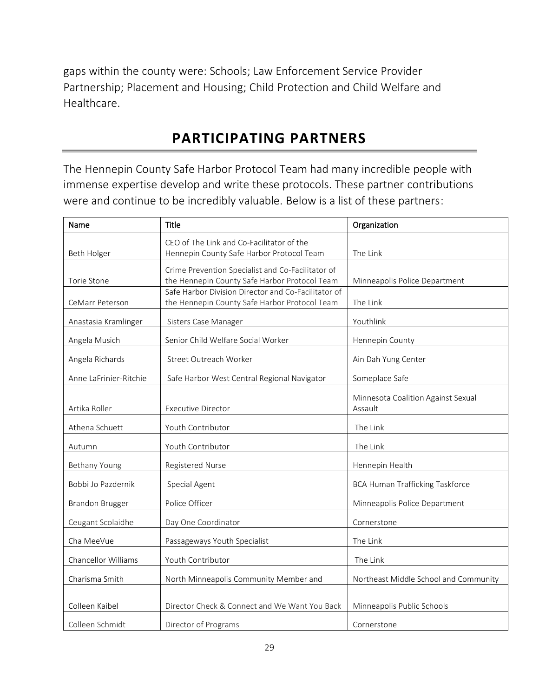gaps within the county were: Schools; Law Enforcement Service Provider Partnership; Placement and Housing; Child Protection and Child Welfare and Healthcare.

### <span id="page-28-1"></span>**PARTICIPATING PARTNERS**

<span id="page-28-0"></span>The Hennepin County Safe Harbor Protocol Team had many incredible people with immense expertise develop and write these protocols. These partner contributions were and continue to be incredibly valuable. Below is a list of these partners:

| Name                   | Title                                                                                                | Organization                                  |
|------------------------|------------------------------------------------------------------------------------------------------|-----------------------------------------------|
| Beth Holger            | CEO of The Link and Co-Facilitator of the<br>Hennepin County Safe Harbor Protocol Team               | The Link                                      |
| Torie Stone            | Crime Prevention Specialist and Co-Facilitator of<br>the Hennepin County Safe Harbor Protocol Team   | Minneapolis Police Department                 |
| CeMarr Peterson        | Safe Harbor Division Director and Co-Facilitator of<br>the Hennepin County Safe Harbor Protocol Team | The Link                                      |
| Anastasia Kramlinger   | Sisters Case Manager                                                                                 | Youthlink                                     |
| Angela Musich          | Senior Child Welfare Social Worker                                                                   | Hennepin County                               |
| Angela Richards        | Street Outreach Worker                                                                               | Ain Dah Yung Center                           |
| Anne LaFrinier-Ritchie | Safe Harbor West Central Regional Navigator                                                          | Someplace Safe                                |
| Artika Roller          | <b>Executive Director</b>                                                                            | Minnesota Coalition Against Sexual<br>Assault |
| Athena Schuett         | Youth Contributor                                                                                    | The Link                                      |
| Autumn                 | Youth Contributor                                                                                    | The Link                                      |
| Bethany Young          | Registered Nurse                                                                                     | Hennepin Health                               |
| Bobbi Jo Pazdernik     | Special Agent                                                                                        | BCA Human Trafficking Taskforce               |
| Brandon Brugger        | Police Officer                                                                                       | Minneapolis Police Department                 |
| Ceugant Scolaidhe      | Day One Coordinator                                                                                  | Cornerstone                                   |
| Cha MeeVue             | Passageways Youth Specialist                                                                         | The Link                                      |
| Chancellor Williams    | Youth Contributor                                                                                    | The Link                                      |
| Charisma Smith         | North Minneapolis Community Member and                                                               | Northeast Middle School and Community         |
| Colleen Kaibel         | Director Check & Connect and We Want You Back                                                        | Minneapolis Public Schools                    |
| Colleen Schmidt        | Director of Programs                                                                                 | Cornerstone                                   |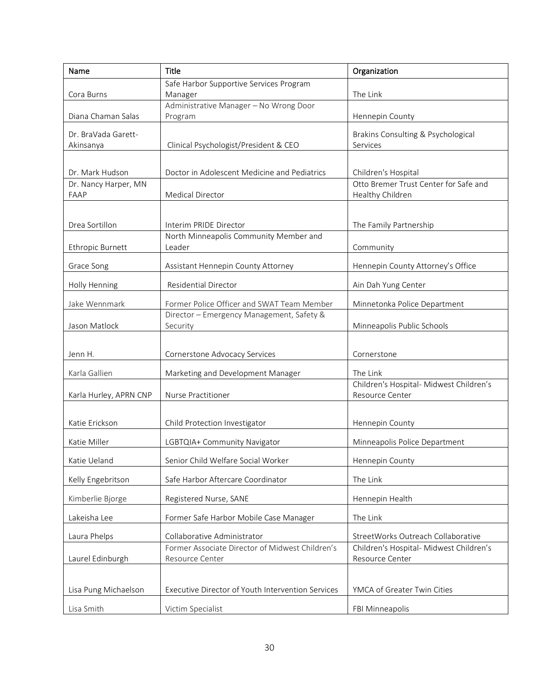| Name                             | Title                                                              | Organization                                               |
|----------------------------------|--------------------------------------------------------------------|------------------------------------------------------------|
| Cora Burns                       | Safe Harbor Supportive Services Program<br>Manager                 | The Link                                                   |
| Diana Chaman Salas               | Administrative Manager - No Wrong Door<br>Program                  | Hennepin County                                            |
| Dr. BraVada Garett-<br>Akinsanya | Clinical Psychologist/President & CEO                              | Brakins Consulting & Psychological<br>Services             |
| Dr. Mark Hudson                  | Doctor in Adolescent Medicine and Pediatrics                       | Children's Hospital                                        |
| Dr. Nancy Harper, MN<br>FAAP     | <b>Medical Director</b>                                            | Otto Bremer Trust Center for Safe and<br>Healthy Children  |
| Drea Sortillon                   | Interim PRIDE Director                                             | The Family Partnership                                     |
| Ethropic Burnett                 | North Minneapolis Community Member and<br>Leader                   | Community                                                  |
| Grace Song                       | Assistant Hennepin County Attorney                                 | Hennepin County Attorney's Office                          |
| Holly Henning                    | Residential Director                                               | Ain Dah Yung Center                                        |
| Jake Wennmark                    | Former Police Officer and SWAT Team Member                         | Minnetonka Police Department                               |
| Jason Matlock                    | Director - Emergency Management, Safety &<br>Security              | Minneapolis Public Schools                                 |
| Jenn H.                          | Cornerstone Advocacy Services                                      | Cornerstone                                                |
| Karla Gallien                    | Marketing and Development Manager                                  | The Link                                                   |
| Karla Hurley, APRN CNP           | <b>Nurse Practitioner</b>                                          | Children's Hospital- Midwest Children's<br>Resource Center |
| Katie Erickson                   | Child Protection Investigator                                      | Hennepin County                                            |
| Katie Miller                     | LGBTQIA+ Community Navigator                                       | Minneapolis Police Department                              |
| Katie Ueland                     | Senior Child Welfare Social Worker                                 | Hennepin County                                            |
| Kelly Engebritson                | Safe Harbor Aftercare Coordinator                                  | The Link                                                   |
| Kimberlie Bjorge                 | Registered Nurse, SANE                                             | Hennepin Health                                            |
| Lakeisha Lee                     | Former Safe Harbor Mobile Case Manager                             | The Link                                                   |
| Laura Phelps                     | Collaborative Administrator                                        | StreetWorks Outreach Collaborative                         |
| Laurel Edinburgh                 | Former Associate Director of Midwest Children's<br>Resource Center | Children's Hospital- Midwest Children's<br>Resource Center |
| Lisa Pung Michaelson             | Executive Director of Youth Intervention Services                  | YMCA of Greater Twin Cities                                |
| Lisa Smith                       | Victim Specialist                                                  | FBI Minneapolis                                            |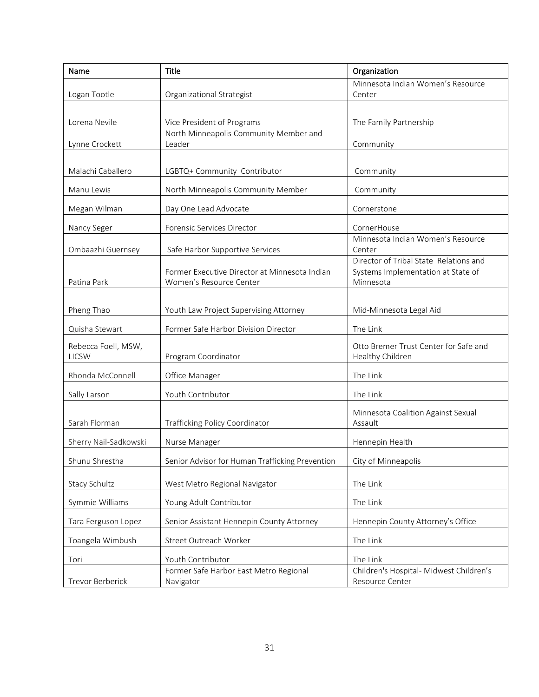| Name                                | Title                                                                    | Organization                                                                              |
|-------------------------------------|--------------------------------------------------------------------------|-------------------------------------------------------------------------------------------|
| Logan Tootle                        | Organizational Strategist                                                | Minnesota Indian Women's Resource<br>Center                                               |
| Lorena Nevile                       | Vice President of Programs                                               | The Family Partnership                                                                    |
| Lynne Crockett                      | North Minneapolis Community Member and<br>Leader                         | Community                                                                                 |
| Malachi Caballero                   | LGBTQ+ Community Contributor                                             | Community                                                                                 |
| Manu Lewis                          | North Minneapolis Community Member                                       | Community                                                                                 |
| Megan Wilman                        | Day One Lead Advocate                                                    | Cornerstone                                                                               |
| Nancy Seger                         | Forensic Services Director                                               | CornerHouse                                                                               |
| Ombaazhi Guernsey                   | Safe Harbor Supportive Services                                          | Minnesota Indian Women's Resource<br>Center                                               |
| Patina Park                         | Former Executive Director at Minnesota Indian<br>Women's Resource Center | Director of Tribal State Relations and<br>Systems Implementation at State of<br>Minnesota |
|                                     |                                                                          |                                                                                           |
| Pheng Thao                          | Youth Law Project Supervising Attorney                                   | Mid-Minnesota Legal Aid                                                                   |
| Quisha Stewart                      | Former Safe Harbor Division Director                                     | The Link                                                                                  |
| Rebecca Foell, MSW,<br><b>LICSW</b> | Program Coordinator                                                      | Otto Bremer Trust Center for Safe and<br>Healthy Children                                 |
| Rhonda McConnell                    | Office Manager                                                           | The Link                                                                                  |
| Sally Larson                        | Youth Contributor                                                        | The Link                                                                                  |
| Sarah Florman                       | Trafficking Policy Coordinator                                           | Minnesota Coalition Against Sexual<br>Assault                                             |
| Sherry Nail-Sadkowski               | Nurse Manager                                                            | Hennepin Health                                                                           |
| Shunu Shrestha                      | Senior Advisor for Human Trafficking Prevention                          | City of Minneapolis                                                                       |
| Stacy Schultz                       | West Metro Regional Navigator                                            | The Link                                                                                  |
| Symmie Williams                     | Young Adult Contributor                                                  | The Link                                                                                  |
| Tara Ferguson Lopez                 | Senior Assistant Hennepin County Attorney                                | Hennepin County Attorney's Office                                                         |
| Toangela Wimbush                    | Street Outreach Worker                                                   | The Link                                                                                  |
| Tori                                | Youth Contributor                                                        | The Link                                                                                  |
| Trevor Berberick                    | Former Safe Harbor East Metro Regional<br>Navigator                      | Children's Hospital- Midwest Children's<br>Resource Center                                |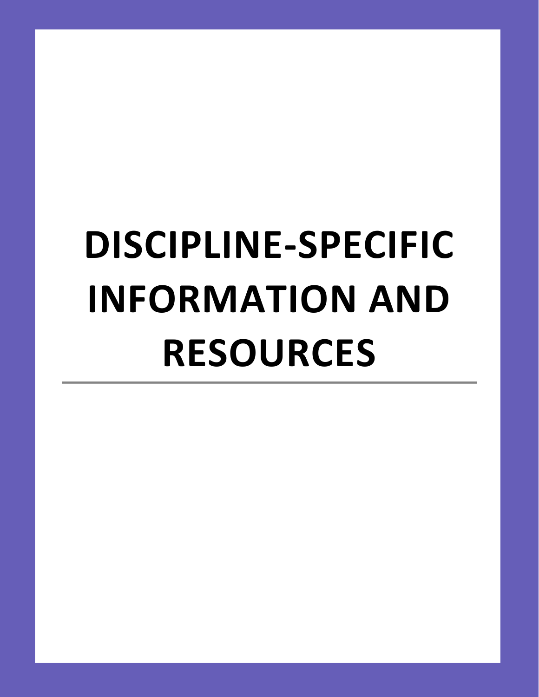# <span id="page-31-1"></span><span id="page-31-0"></span>**DISCIPLINE-SPECIFIC INFORMATION AND RESOURCES**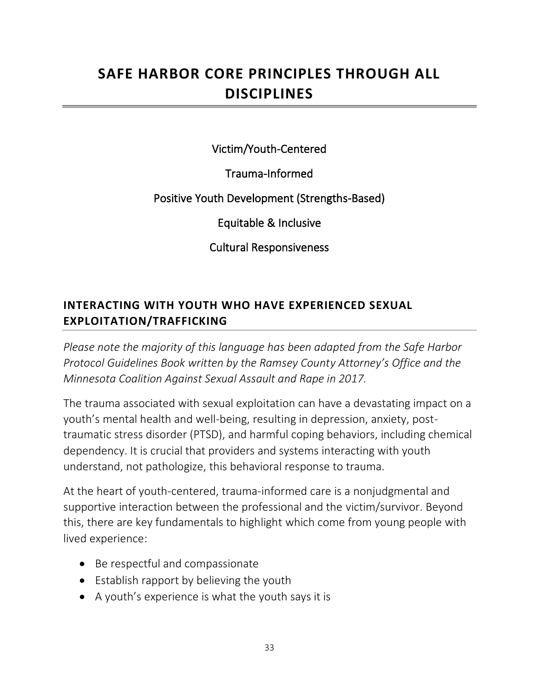## <span id="page-32-0"></span>**SAFE HARBOR CORE PRINCIPLES THROUGH ALL DISCIPLINES**

#### <span id="page-32-2"></span>Victim/Youth-Centered

Trauma-Informed

#### Positive Youth Development (Strengths-Based)

Equitable & Inclusive

<span id="page-32-3"></span>Cultural Responsiveness

#### <span id="page-32-1"></span>**INTERACTING WITH YOUTH WHO HAVE EXPERIENCED SEXUAL EXPLOITATION/TRAFFICKING**

*Please note the majority of this language has been adapted from the Safe Harbor Protocol Guidelines Book written by the Ramsey County Attorney's Office and the Minnesota Coalition Against Sexual Assault and Rape in 2017.*

The trauma associated with sexual exploitation can have a devastating impact on a youth's mental health and well-being, resulting in depression, anxiety, posttraumatic stress disorder (PTSD), and harmful coping behaviors, including chemical dependency. It is crucial that providers and systems interacting with youth understand, not pathologize, this behavioral response to trauma.

At the heart of youth-centered, trauma-informed care is a nonjudgmental and supportive interaction between the professional and the victim/survivor. Beyond this, there are key fundamentals to highlight which come from young people with lived experience:

- Be respectful and compassionate
- Establish rapport by believing the youth
- A youth's experience is what the youth says it is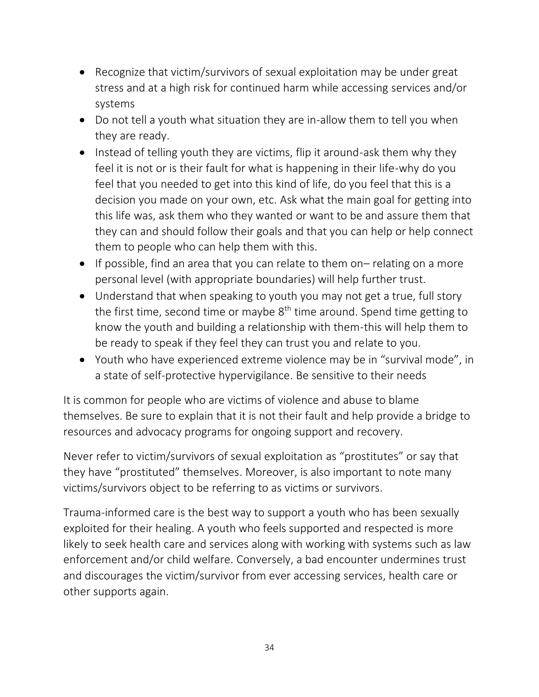- Recognize that victim/survivors of sexual exploitation may be under great stress and at a high risk for continued harm while accessing services and/or systems
- Do not tell a youth what situation they are in-allow them to tell you when they are ready.
- Instead of telling youth they are victims, flip it around-ask them why they feel it is not or is their fault for what is happening in their life-why do you feel that you needed to get into this kind of life, do you feel that this is a decision you made on your own, etc. Ask what the main goal for getting into this life was, ask them who they wanted or want to be and assure them that they can and should follow their goals and that you can help or help connect them to people who can help them with this.
- If possible, find an area that you can relate to them on– relating on a more personal level (with appropriate boundaries) will help further trust.
- Understand that when speaking to youth you may not get a true, full story the first time, second time or maybe  $8<sup>th</sup>$  time around. Spend time getting to know the youth and building a relationship with them-this will help them to be ready to speak if they feel they can trust you and relate to you.
- Youth who have experienced extreme violence may be in "survival mode", in a state of self-protective hypervigilance. Be sensitive to their needs

It is common for people who are victims of violence and abuse to blame themselves. Be sure to explain that it is not their fault and help provide a bridge to resources and advocacy programs for ongoing support and recovery.

Never refer to victim/survivors of sexual exploitation as "prostitutes" or say that they have "prostituted" themselves. Moreover, is also important to note many victims/survivors object to be referring to as victims or survivors.

Trauma-informed care is the best way to support a youth who has been sexually exploited for their healing. A youth who feels supported and respected is more likely to seek health care and services along with working with systems such as law enforcement and/or child welfare. Conversely, a bad encounter undermines trust and discourages the victim/survivor from ever accessing services, health care or other supports again.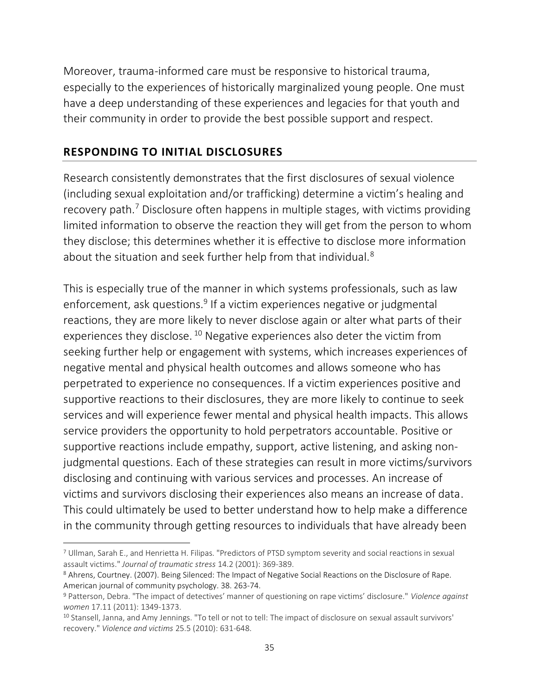Moreover, trauma-informed care must be responsive to historical trauma, especially to the experiences of historically marginalized young people. One must have a deep understanding of these experiences and legacies for that youth and their community in order to provide the best possible support and respect.

#### <span id="page-34-1"></span><span id="page-34-0"></span>**RESPONDING TO INITIAL DISCLOSURES**

Research consistently demonstrates that the first disclosures of sexual violence (including sexual exploitation and/or trafficking) determine a victim's healing and recovery path.<sup>7</sup> Disclosure often happens in multiple stages, with victims providing limited information to observe the reaction they will get from the person to whom they disclose; this determines whether it is effective to disclose more information about the situation and seek further help from that individual.<sup>8</sup>

This is especially true of the manner in which systems professionals, such as law enforcement, ask questions.<sup>9</sup> If a victim experiences negative or judgmental reactions, they are more likely to never disclose again or alter what parts of their experiences they disclose.<sup>10</sup> Negative experiences also deter the victim from seeking further help or engagement with systems, which increases experiences of negative mental and physical health outcomes and allows someone who has perpetrated to experience no consequences. If a victim experiences positive and supportive reactions to their disclosures, they are more likely to continue to seek services and will experience fewer mental and physical health impacts. This allows service providers the opportunity to hold perpetrators accountable. Positive or supportive reactions include empathy, support, active listening, and asking nonjudgmental questions. Each of these strategies can result in more victims/survivors disclosing and continuing with various services and processes. An increase of victims and survivors disclosing their experiences also means an increase of data. This could ultimately be used to better understand how to help make a difference in the community through getting resources to individuals that have already been

<sup>7</sup> Ullman, Sarah E., and Henrietta H. Filipas. "Predictors of PTSD symptom severity and social reactions in sexual assault victims." *Journal of traumatic stress* 14.2 (2001): 369-389.

<sup>8</sup> Ahrens, Courtney. (2007). Being Silenced: The Impact of Negative Social Reactions on the Disclosure of Rape. American journal of community psychology. 38. 263-74.

<sup>9</sup> Patterson, Debra. "The impact of detectives' manner of questioning on rape victims' disclosure." *Violence against women* 17.11 (2011): 1349-1373.

<sup>&</sup>lt;sup>10</sup> Stansell, Janna, and Amy Jennings. "To tell or not to tell: The impact of disclosure on sexual assault survivors' recovery." *Violence and victims* 25.5 (2010): 631-648.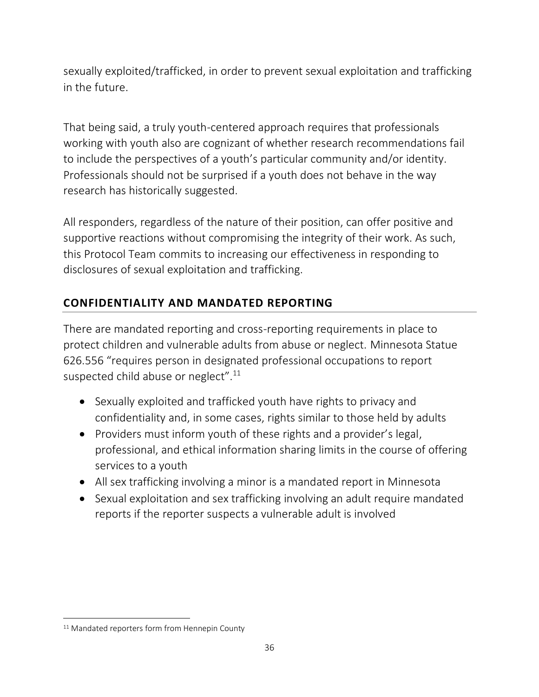sexually exploited/trafficked, in order to prevent sexual exploitation and trafficking in the future.

That being said, a truly youth-centered approach requires that professionals working with youth also are cognizant of whether research recommendations fail to include the perspectives of a youth's particular community and/or identity. Professionals should not be surprised if a youth does not behave in the way research has historically suggested.

All responders, regardless of the nature of their position, can offer positive and supportive reactions without compromising the integrity of their work. As such, this Protocol Team commits to increasing our effectiveness in responding to disclosures of sexual exploitation and trafficking.

#### <span id="page-35-1"></span><span id="page-35-0"></span>**CONFIDENTIALITY AND MANDATED REPORTING**

There are mandated reporting and cross-reporting requirements in place to protect children and vulnerable adults from abuse or neglect. Minnesota Statue 626.556 "requires person in designated professional occupations to report suspected child abuse or neglect".<sup>11</sup>

- Sexually exploited and trafficked youth have rights to privacy and confidentiality and, in some cases, rights similar to those held by adults
- Providers must inform youth of these rights and a provider's legal, professional, and ethical information sharing limits in the course of offering services to a youth
- All sex trafficking involving a minor is a mandated report in Minnesota
- Sexual exploitation and sex trafficking involving an adult require mandated reports if the reporter suspects a vulnerable adult is involved

<sup>&</sup>lt;sup>11</sup> Mandated reporters form from Hennepin County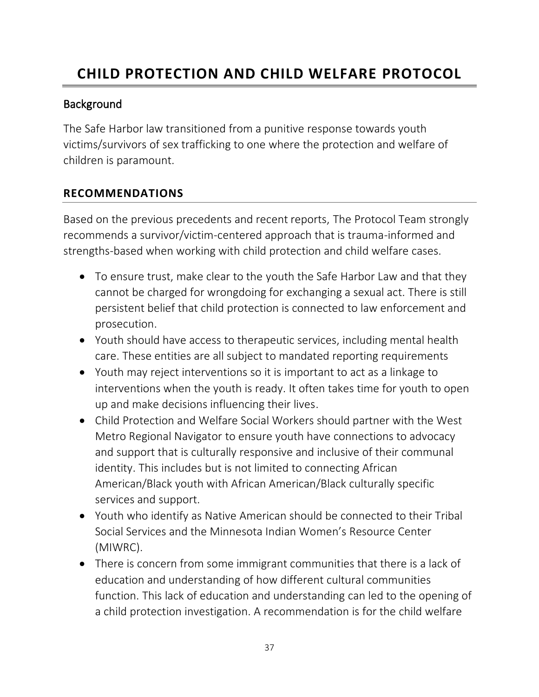# **CHILD PROTECTION AND CHILD WELFARE PROTOCOL**

### Background

The Safe Harbor law transitioned from a punitive response towards youth victims/survivors of sex trafficking to one where the protection and welfare of children is paramount.

### **RECOMMENDATIONS**

Based on the previous precedents and recent reports, The Protocol Team strongly recommends a survivor/victim-centered approach that is trauma-informed and strengths-based when working with child protection and child welfare cases.

- To ensure trust, make clear to the youth the Safe Harbor Law and that they cannot be charged for wrongdoing for exchanging a sexual act. There is still persistent belief that child protection is connected to law enforcement and prosecution.
- Youth should have access to therapeutic services, including mental health care. These entities are all subject to mandated reporting requirements
- Youth may reject interventions so it is important to act as a linkage to interventions when the youth is ready. It often takes time for youth to open up and make decisions influencing their lives.
- Child Protection and Welfare Social Workers should partner with the West Metro Regional Navigator to ensure youth have connections to advocacy and support that is culturally responsive and inclusive of their communal identity. This includes but is not limited to connecting African American/Black youth with African American/Black culturally specific services and support.
- Youth who identify as Native American should be connected to their Tribal Social Services and the Minnesota Indian Women's Resource Center (MIWRC).
- There is concern from some immigrant communities that there is a lack of education and understanding of how different cultural communities function. This lack of education and understanding can led to the opening of a child protection investigation. A recommendation is for the child welfare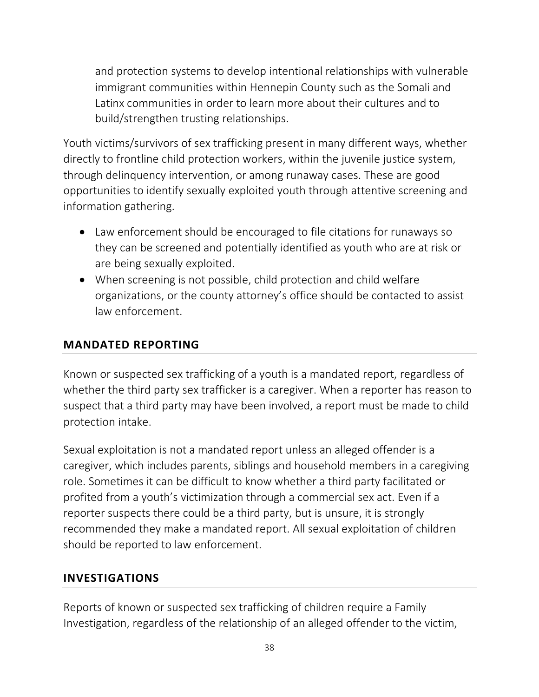and protection systems to develop intentional relationships with vulnerable immigrant communities within Hennepin County such as the Somali and Latinx communities in order to learn more about their cultures and to build/strengthen trusting relationships.

Youth victims/survivors of sex trafficking present in many different ways, whether directly to frontline child protection workers, within the juvenile justice system, through delinquency intervention, or among runaway cases. These are good opportunities to identify sexually exploited youth through attentive screening and information gathering.

- Law enforcement should be encouraged to file citations for runaways so they can be screened and potentially identified as youth who are at risk or are being sexually exploited.
- When screening is not possible, child protection and child welfare organizations, or the county attorney's office should be contacted to assist law enforcement.

# **MANDATED REPORTING**

Known or suspected sex trafficking of a youth is a mandated report, regardless of whether the third party sex trafficker is a caregiver. When a reporter has reason to suspect that a third party may have been involved, a report must be made to child protection intake.

Sexual exploitation is not a mandated report unless an alleged offender is a caregiver, which includes parents, siblings and household members in a caregiving role. Sometimes it can be difficult to know whether a third party facilitated or profited from a youth's victimization through a commercial sex act. Even if a reporter suspects there could be a third party, but is unsure, it is strongly recommended they make a mandated report. All sexual exploitation of children should be reported to law enforcement.

### **INVESTIGATIONS**

Reports of known or suspected sex trafficking of children require a Family Investigation, regardless of the relationship of an alleged offender to the victim,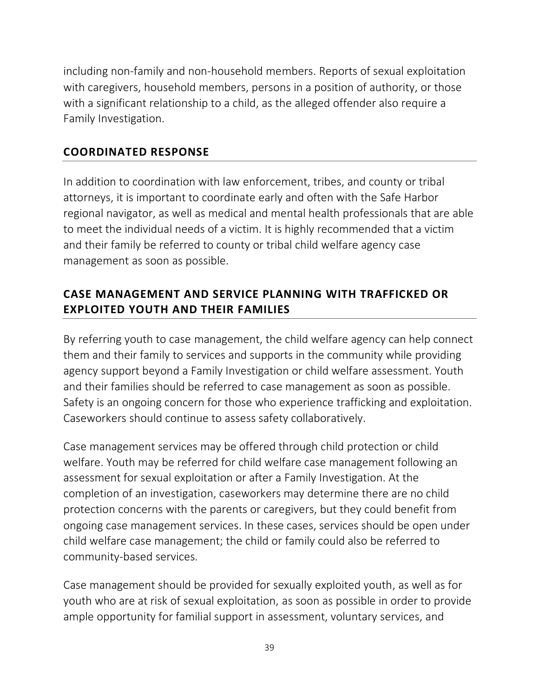including non-family and non-household members. Reports of sexual exploitation with caregivers, household members, persons in a position of authority, or those with a significant relationship to a child, as the alleged offender also require a Family Investigation.

### **COORDINATED RESPONSE**

In addition to coordination with law enforcement, tribes, and county or tribal attorneys, it is important to coordinate early and often with the Safe Harbor regional navigator, as well as medical and mental health professionals that are able to meet the individual needs of a victim. It is highly recommended that a victim and their family be referred to county or tribal child welfare agency case management as soon as possible.

# **CASE MANAGEMENT AND SERVICE PLANNING WITH TRAFFICKED OR EXPLOITED YOUTH AND THEIR FAMILIES**

By referring youth to case management, the child welfare agency can help connect them and their family to services and supports in the community while providing agency support beyond a Family Investigation or child welfare assessment. Youth and their families should be referred to case management as soon as possible. Safety is an ongoing concern for those who experience trafficking and exploitation. Caseworkers should continue to assess safety collaboratively.

Case management services may be offered through child protection or child welfare. Youth may be referred for child welfare case management following an assessment for sexual exploitation or after a Family Investigation. At the completion of an investigation, caseworkers may determine there are no child protection concerns with the parents or caregivers, but they could benefit from ongoing case management services. In these cases, services should be open under child welfare case management; the child or family could also be referred to community-based services.

Case management should be provided for sexually exploited youth, as well as for youth who are at risk of sexual exploitation, as soon as possible in order to provide ample opportunity for familial support in assessment, voluntary services, and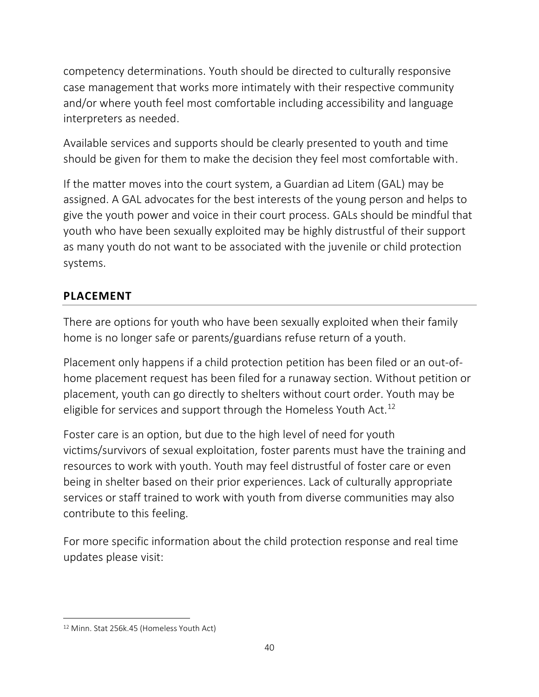competency determinations. Youth should be directed to culturally responsive case management that works more intimately with their respective community and/or where youth feel most comfortable including accessibility and language interpreters as needed.

Available services and supports should be clearly presented to youth and time should be given for them to make the decision they feel most comfortable with.

If the matter moves into the court system, a Guardian ad Litem (GAL) may be assigned. A GAL advocates for the best interests of the young person and helps to give the youth power and voice in their court process. GALs should be mindful that youth who have been sexually exploited may be highly distrustful of their support as many youth do not want to be associated with the juvenile or child protection systems.

# **PLACEMENT**

There are options for youth who have been sexually exploited when their family home is no longer safe or parents/guardians refuse return of a youth.

Placement only happens if a child protection petition has been filed or an out-ofhome placement request has been filed for a runaway section. Without petition or placement, youth can go directly to shelters without court order. Youth may be eligible for services and support through the Homeless Youth Act.<sup>12</sup>

Foster care is an option, but due to the high level of need for youth victims/survivors of sexual exploitation, foster parents must have the training and resources to work with youth. Youth may feel distrustful of foster care or even being in shelter based on their prior experiences. Lack of culturally appropriate services or staff trained to work with youth from diverse communities may also contribute to this feeling.

For more specific information about the child protection response and real time updates please visit:

<sup>12</sup> Minn. Stat 256k.45 (Homeless Youth Act)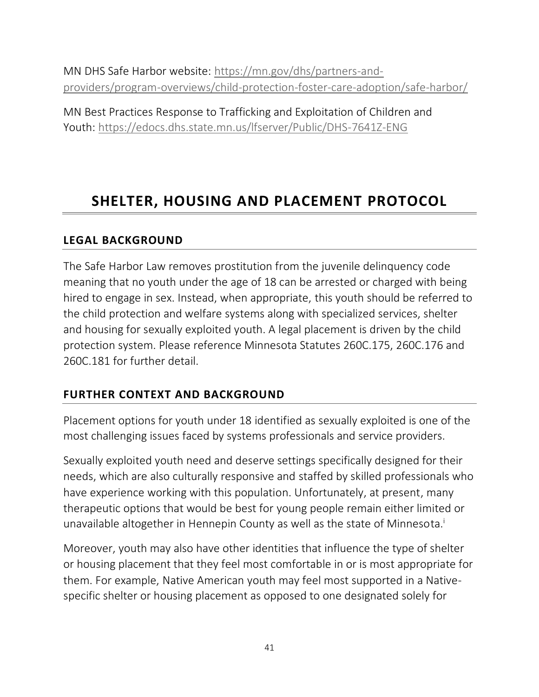MN DHS Safe Harbor website: [https://mn.gov/dhs/partners-and](https://nam10.safelinks.protection.outlook.com/?url=https%3A%2F%2Fmn.gov%2Fdhs%2Fpartners-and-providers%2Fprogram-overviews%2Fchild-protection-foster-care-adoption%2Fsafe-harbor%2F&data=01%7C01%7Cbholger%40thelinkmn.org%7Ca7977c4fc19747b24a8508d86eac2f08%7Cbd1d1ddd73864fdb86e2f12d1165790f%7C0&sdata=s9GQ7hrjCEHfXJ7EhSOjnBVomTJH9zyMrsAs1j2camo%3D&reserved=0)[providers/program-overviews/child-protection-foster-care-adoption/safe-harbor/](https://nam10.safelinks.protection.outlook.com/?url=https%3A%2F%2Fmn.gov%2Fdhs%2Fpartners-and-providers%2Fprogram-overviews%2Fchild-protection-foster-care-adoption%2Fsafe-harbor%2F&data=01%7C01%7Cbholger%40thelinkmn.org%7Ca7977c4fc19747b24a8508d86eac2f08%7Cbd1d1ddd73864fdb86e2f12d1165790f%7C0&sdata=s9GQ7hrjCEHfXJ7EhSOjnBVomTJH9zyMrsAs1j2camo%3D&reserved=0)

MN Best Practices Response to Trafficking and Exploitation of Children and Youth: [https://edocs.dhs.state.mn.us/lfserver/Public/DHS-7641Z-ENG](https://nam10.safelinks.protection.outlook.com/?url=https%3A%2F%2Fedocs.dhs.state.mn.us%2Flfserver%2FPublic%2FDHS-7641Z-ENG&data=01%7C01%7Cbholger%40thelinkmn.org%7Ca7977c4fc19747b24a8508d86eac2f08%7Cbd1d1ddd73864fdb86e2f12d1165790f%7C0&sdata=bWLxysw2KPU6kDqdHvcx6D57DIJdLBmJKCWJG5Mw8U0%3D&reserved=0)

# **SHELTER, HOUSING AND PLACEMENT PROTOCOL**

### **LEGAL BACKGROUND**

The Safe Harbor Law removes prostitution from the juvenile delinquency code meaning that no youth under the age of 18 can be arrested or charged with being hired to engage in sex. Instead, when appropriate, this youth should be referred to the child protection and welfare systems along with specialized services, shelter and housing for sexually exploited youth. A legal placement is driven by the child protection system. Please reference Minnesota Statutes 260C.175, 260C.176 and 260C.181 for further detail.

### **FURTHER CONTEXT AND BACKGROUND**

Placement options for youth under 18 identified as sexually exploited is one of the most challenging issues faced by systems professionals and service providers.

Sexually exploited youth need and deserve settings specifically designed for their needs, which are also culturally responsive and staffed by skilled professionals who have experience working with this population. Unfortunately, at present, many therapeutic options that would be best for young people remain either limited or unavailable altogether in Hennepin County as well as the state of Minnesota.<sup>i</sup>

Moreover, youth may also have other identities that influence the type of shelter or housing placement that they feel most comfortable in or is most appropriate for them. For example, Native American youth may feel most supported in a Nativespecific shelter or housing placement as opposed to one designated solely for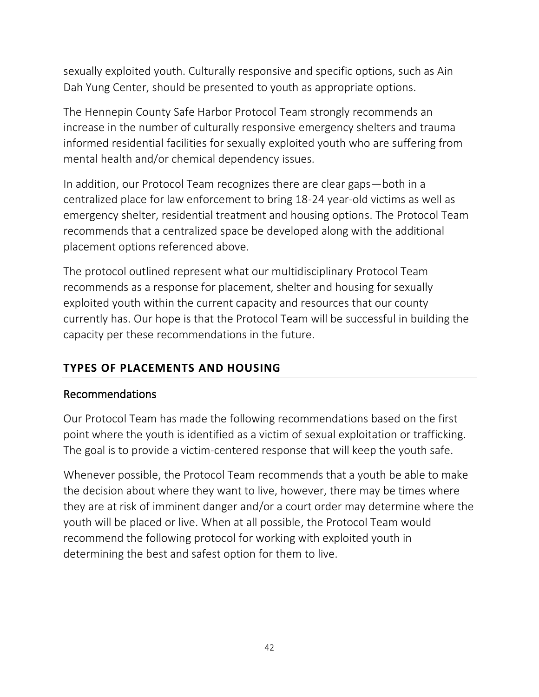sexually exploited youth. Culturally responsive and specific options, such as Ain Dah Yung Center, should be presented to youth as appropriate options.

The Hennepin County Safe Harbor Protocol Team strongly recommends an increase in the number of culturally responsive emergency shelters and trauma informed residential facilities for sexually exploited youth who are suffering from mental health and/or chemical dependency issues.

In addition, our Protocol Team recognizes there are clear gaps—both in a centralized place for law enforcement to bring 18-24 year-old victims as well as emergency shelter, residential treatment and housing options. The Protocol Team recommends that a centralized space be developed along with the additional placement options referenced above.

The protocol outlined represent what our multidisciplinary Protocol Team recommends as a response for placement, shelter and housing for sexually exploited youth within the current capacity and resources that our county currently has. Our hope is that the Protocol Team will be successful in building the capacity per these recommendations in the future.

# **TYPES OF PLACEMENTS AND HOUSING**

### Recommendations

Our Protocol Team has made the following recommendations based on the first point where the youth is identified as a victim of sexual exploitation or trafficking. The goal is to provide a victim-centered response that will keep the youth safe.

Whenever possible, the Protocol Team recommends that a youth be able to make the decision about where they want to live, however, there may be times where they are at risk of imminent danger and/or a court order may determine where the youth will be placed or live. When at all possible, the Protocol Team would recommend the following protocol for working with exploited youth in determining the best and safest option for them to live.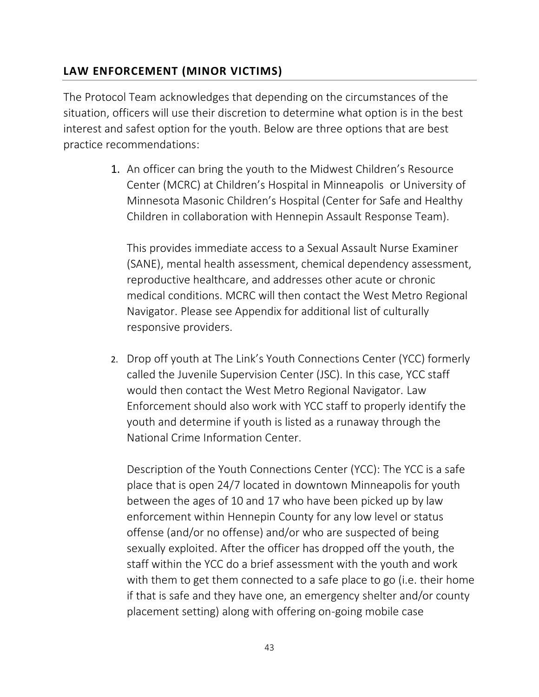### **LAW ENFORCEMENT (MINOR VICTIMS)**

The Protocol Team acknowledges that depending on the circumstances of the situation, officers will use their discretion to determine what option is in the best interest and safest option for the youth. Below are three options that are best practice recommendations:

> 1. An officer can bring the youth to the Midwest Children's Resource Center (MCRC) at Children's Hospital in Minneapolis or University of Minnesota Masonic Children's Hospital (Center for Safe and Healthy Children in collaboration with Hennepin Assault Response Team).

This provides immediate access to a Sexual Assault Nurse Examiner (SANE), mental health assessment, chemical dependency assessment, reproductive healthcare, and addresses other acute or chronic medical conditions. MCRC will then contact the West Metro Regional Navigator. Please see Appendix for additional list of culturally responsive providers.

2. Drop off youth at The Link's Youth Connections Center (YCC) formerly called the Juvenile Supervision Center (JSC). In this case, YCC staff would then contact the West Metro Regional Navigator. Law Enforcement should also work with YCC staff to properly identify the youth and determine if youth is listed as a runaway through the National Crime Information Center.

Description of the Youth Connections Center (YCC): The YCC is a safe place that is open 24/7 located in downtown Minneapolis for youth between the ages of 10 and 17 who have been picked up by law enforcement within Hennepin County for any low level or status offense (and/or no offense) and/or who are suspected of being sexually exploited. After the officer has dropped off the youth, the staff within the YCC do a brief assessment with the youth and work with them to get them connected to a safe place to go (i.e. their home if that is safe and they have one, an emergency shelter and/or county placement setting) along with offering on-going mobile case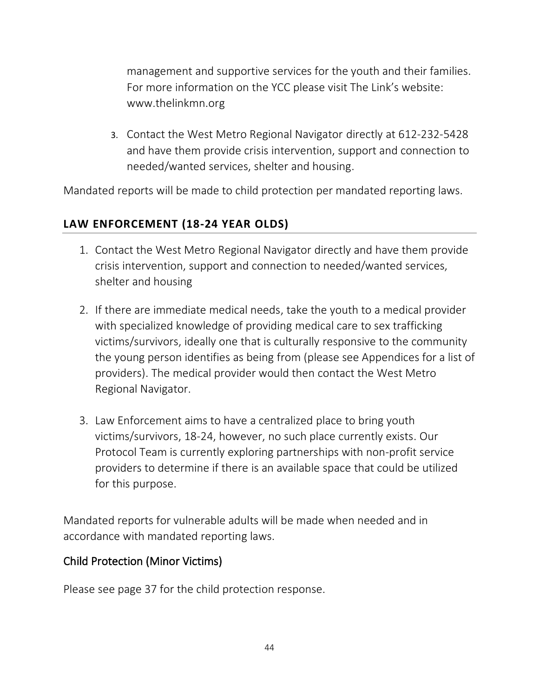management and supportive services for the youth and their families. For more information on the YCC please visit The Link's website: www.thelinkmn.org

3. Contact the West Metro Regional Navigator directly at 612-232-5428 and have them provide crisis intervention, support and connection to needed/wanted services, shelter and housing.

Mandated reports will be made to child protection per mandated reporting laws.

### **LAW ENFORCEMENT (18-24 YEAR OLDS)**

- 1. Contact the West Metro Regional Navigator directly and have them provide crisis intervention, support and connection to needed/wanted services, shelter and housing
- 2. If there are immediate medical needs, take the youth to a medical provider with specialized knowledge of providing medical care to sex trafficking victims/survivors, ideally one that is culturally responsive to the community the young person identifies as being from (please see Appendices for a list of providers). The medical provider would then contact the West Metro Regional Navigator.
- 3. Law Enforcement aims to have a centralized place to bring youth victims/survivors, 18-24, however, no such place currently exists. Our Protocol Team is currently exploring partnerships with non-profit service providers to determine if there is an available space that could be utilized for this purpose.

Mandated reports for vulnerable adults will be made when needed and in accordance with mandated reporting laws.

### Child Protection (Minor Victims)

Please see page 37 for the child protection response.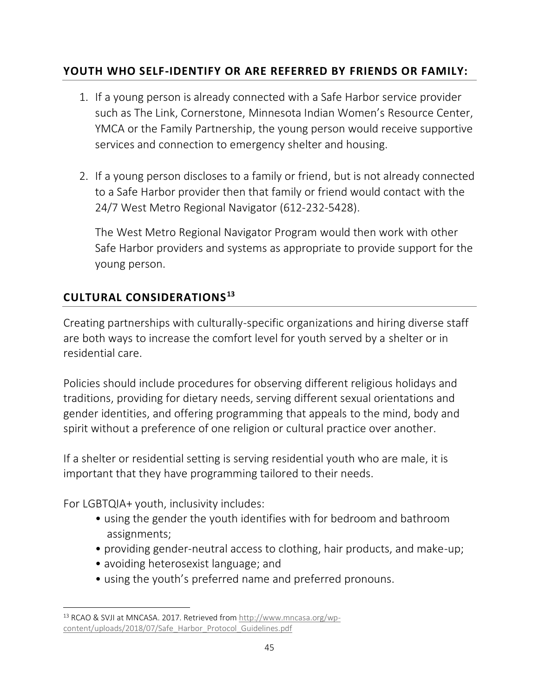# **YOUTH WHO SELF-IDENTIFY OR ARE REFERRED BY FRIENDS OR FAMILY:**

- 1. If a young person is already connected with a Safe Harbor service provider such as The Link, Cornerstone, Minnesota Indian Women's Resource Center, YMCA or the Family Partnership, the young person would receive supportive services and connection to emergency shelter and housing.
- 2. If a young person discloses to a family or friend, but is not already connected to a Safe Harbor provider then that family or friend would contact with the 24/7 West Metro Regional Navigator (612-232-5428).

The West Metro Regional Navigator Program would then work with other Safe Harbor providers and systems as appropriate to provide support for the young person.

# **CULTURAL CONSIDERATIONS<sup>13</sup>**

Creating partnerships with culturally-specific organizations and hiring diverse staff are both ways to increase the comfort level for youth served by a shelter or in residential care.

Policies should include procedures for observing different religious holidays and traditions, providing for dietary needs, serving different sexual orientations and gender identities, and offering programming that appeals to the mind, body and spirit without a preference of one religion or cultural practice over another.

If a shelter or residential setting is serving residential youth who are male, it is important that they have programming tailored to their needs.

For LGBTQIA+ youth, inclusivity includes:

- using the gender the youth identifies with for bedroom and bathroom assignments;
- providing gender-neutral access to clothing, hair products, and make-up;
- avoiding heterosexist language; and
- using the youth's preferred name and preferred pronouns.

<sup>13</sup> RCAO & SVJI at MNCASA. 2017. Retrieved fro[m http://www.mncasa.org/wp](http://www.mncasa.org/wp-content/uploads/2018/07/Safe_Harbor_Protocol_Guidelines.pdf)[content/uploads/2018/07/Safe\\_Harbor\\_Protocol\\_Guidelines.pdf](http://www.mncasa.org/wp-content/uploads/2018/07/Safe_Harbor_Protocol_Guidelines.pdf)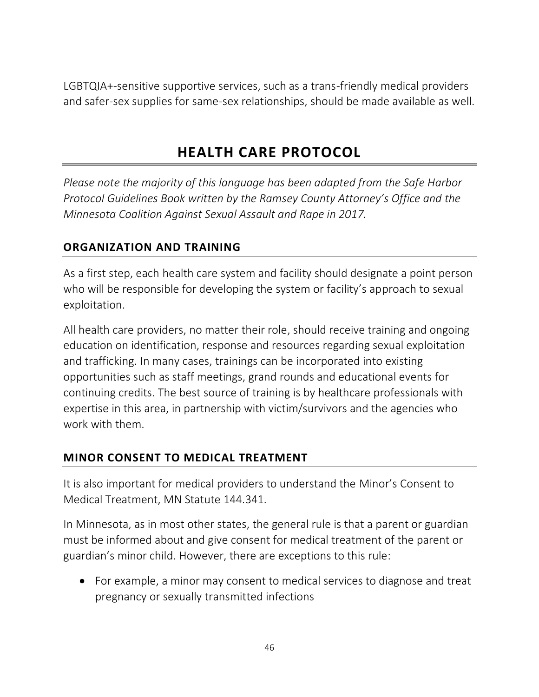LGBTQIA+-sensitive supportive services, such as a trans-friendly medical providers and safer-sex supplies for same-sex relationships, should be made available as well.

# **HEALTH CARE PROTOCOL**

*Please note the majority of this language has been adapted from the Safe Harbor Protocol Guidelines Book written by the Ramsey County Attorney's Office and the Minnesota Coalition Against Sexual Assault and Rape in 2017.*

### **ORGANIZATION AND TRAINING**

As a first step, each health care system and facility should designate a point person who will be responsible for developing the system or facility's approach to sexual exploitation.

All health care providers, no matter their role, should receive training and ongoing education on identification, response and resources regarding sexual exploitation and trafficking. In many cases, trainings can be incorporated into existing opportunities such as staff meetings, grand rounds and educational events for continuing credits. The best source of training is by healthcare professionals with expertise in this area, in partnership with victim/survivors and the agencies who work with them.

### **MINOR CONSENT TO MEDICAL TREATMENT**

It is also important for medical providers to understand the Minor's Consent to Medical Treatment, MN Statute 144.341.

In Minnesota, as in most other states, the general rule is that a parent or guardian must be informed about and give consent for medical treatment of the parent or guardian's minor child. However, there are exceptions to this rule:

• For example, a minor may consent to medical services to diagnose and treat pregnancy or sexually transmitted infections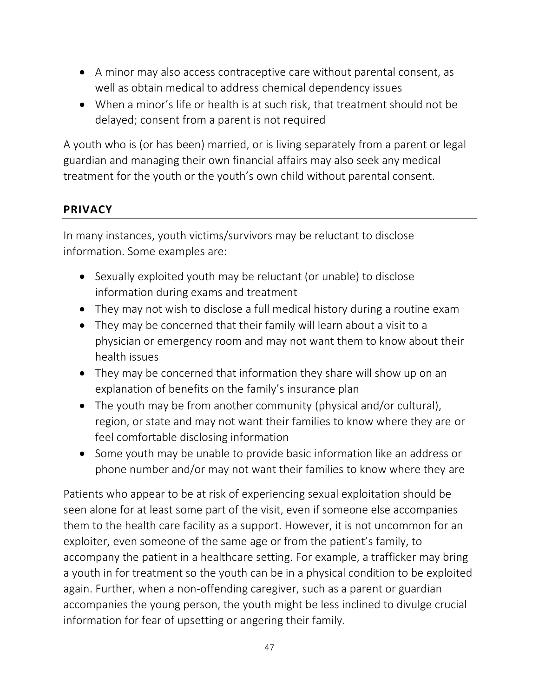- A minor may also access contraceptive care without parental consent, as well as obtain medical to address chemical dependency issues
- When a minor's life or health is at such risk, that treatment should not be delayed; consent from a parent is not required

A youth who is (or has been) married, or is living separately from a parent or legal guardian and managing their own financial affairs may also seek any medical treatment for the youth or the youth's own child without parental consent.

# **PRIVACY**

In many instances, youth victims/survivors may be reluctant to disclose information. Some examples are:

- Sexually exploited youth may be reluctant (or unable) to disclose information during exams and treatment
- They may not wish to disclose a full medical history during a routine exam
- They may be concerned that their family will learn about a visit to a physician or emergency room and may not want them to know about their health issues
- They may be concerned that information they share will show up on an explanation of benefits on the family's insurance plan
- The youth may be from another community (physical and/or cultural), region, or state and may not want their families to know where they are or feel comfortable disclosing information
- Some youth may be unable to provide basic information like an address or phone number and/or may not want their families to know where they are

Patients who appear to be at risk of experiencing sexual exploitation should be seen alone for at least some part of the visit, even if someone else accompanies them to the health care facility as a support. However, it is not uncommon for an exploiter, even someone of the same age or from the patient's family, to accompany the patient in a healthcare setting. For example, a trafficker may bring a youth in for treatment so the youth can be in a physical condition to be exploited again. Further, when a non-offending caregiver, such as a parent or guardian accompanies the young person, the youth might be less inclined to divulge crucial information for fear of upsetting or angering their family.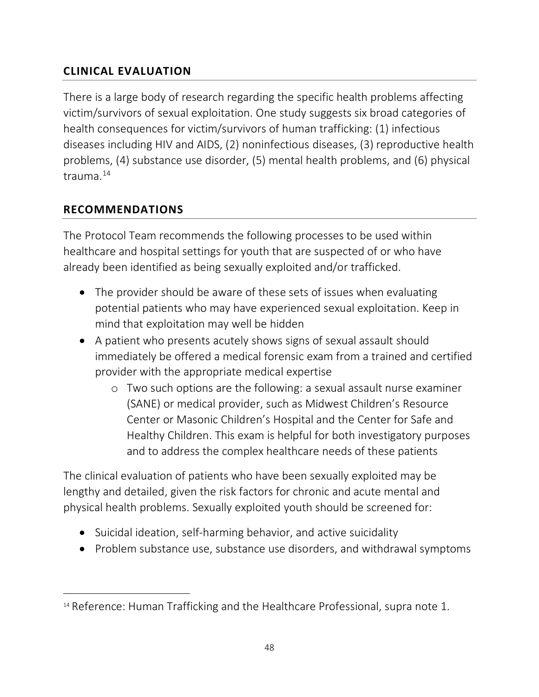# **CLINICAL EVALUATION**

There is a large body of research regarding the specific health problems affecting victim/survivors of sexual exploitation. One study suggests six broad categories of health consequences for victim/survivors of human trafficking: (1) infectious diseases including HIV and AIDS, (2) noninfectious diseases, (3) reproductive health problems, (4) substance use disorder, (5) mental health problems, and (6) physical trauma. $14$ 

# **RECOMMENDATIONS**

The Protocol Team recommends the following processes to be used within healthcare and hospital settings for youth that are suspected of or who have already been identified as being sexually exploited and/or trafficked.

- The provider should be aware of these sets of issues when evaluating potential patients who may have experienced sexual exploitation. Keep in mind that exploitation may well be hidden
- A patient who presents acutely shows signs of sexual assault should immediately be offered a medical forensic exam from a trained and certified provider with the appropriate medical expertise
	- o Two such options are the following: a sexual assault nurse examiner (SANE) or medical provider, such as Midwest Children's Resource Center or Masonic Children's Hospital and the Center for Safe and Healthy Children. This exam is helpful for both investigatory purposes and to address the complex healthcare needs of these patients

The clinical evaluation of patients who have been sexually exploited may be lengthy and detailed, given the risk factors for chronic and acute mental and physical health problems. Sexually exploited youth should be screened for:

- Suicidal ideation, self-harming behavior, and active suicidality
- Problem substance use, substance use disorders, and withdrawal symptoms

<sup>14</sup> Reference: Human Trafficking and the Healthcare Professional, supra note 1.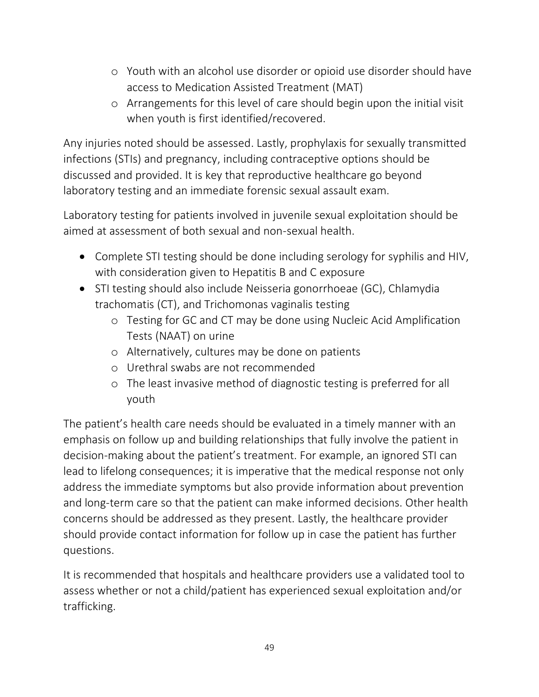- o Youth with an alcohol use disorder or opioid use disorder should have access to Medication Assisted Treatment (MAT)
- o Arrangements for this level of care should begin upon the initial visit when youth is first identified/recovered.

Any injuries noted should be assessed. Lastly, prophylaxis for sexually transmitted infections (STIs) and pregnancy, including contraceptive options should be discussed and provided. It is key that reproductive healthcare go beyond laboratory testing and an immediate forensic sexual assault exam.

Laboratory testing for patients involved in juvenile sexual exploitation should be aimed at assessment of both sexual and non-sexual health.

- Complete STI testing should be done including serology for syphilis and HIV, with consideration given to Hepatitis B and C exposure
- STI testing should also include Neisseria gonorrhoeae (GC), Chlamydia trachomatis (CT), and Trichomonas vaginalis testing
	- o Testing for GC and CT may be done using Nucleic Acid Amplification Tests (NAAT) on urine
	- o Alternatively, cultures may be done on patients
	- o Urethral swabs are not recommended
	- o The least invasive method of diagnostic testing is preferred for all youth

The patient's health care needs should be evaluated in a timely manner with an emphasis on follow up and building relationships that fully involve the patient in decision-making about the patient's treatment. For example, an ignored STI can lead to lifelong consequences; it is imperative that the medical response not only address the immediate symptoms but also provide information about prevention and long-term care so that the patient can make informed decisions. Other health concerns should be addressed as they present. Lastly, the healthcare provider should provide contact information for follow up in case the patient has further questions.

It is recommended that hospitals and healthcare providers use a validated tool to assess whether or not a child/patient has experienced sexual exploitation and/or trafficking.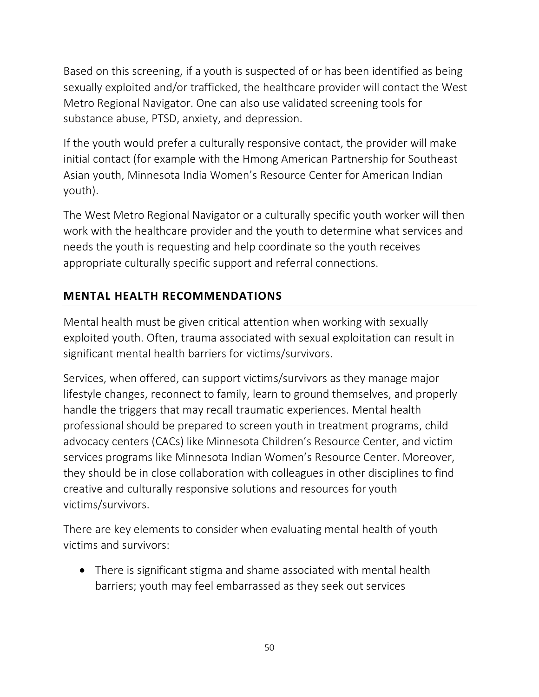Based on this screening, if a youth is suspected of or has been identified as being sexually exploited and/or trafficked, the healthcare provider will contact the West Metro Regional Navigator. One can also use validated screening tools for substance abuse, PTSD, anxiety, and depression.

If the youth would prefer a culturally responsive contact, the provider will make initial contact (for example with the Hmong American Partnership for Southeast Asian youth, Minnesota India Women's Resource Center for American Indian youth).

The West Metro Regional Navigator or a culturally specific youth worker will then work with the healthcare provider and the youth to determine what services and needs the youth is requesting and help coordinate so the youth receives appropriate culturally specific support and referral connections.

# **MENTAL HEALTH RECOMMENDATIONS**

Mental health must be given critical attention when working with sexually exploited youth. Often, trauma associated with sexual exploitation can result in significant mental health barriers for victims/survivors.

Services, when offered, can support victims/survivors as they manage major lifestyle changes, reconnect to family, learn to ground themselves, and properly handle the triggers that may recall traumatic experiences. Mental health professional should be prepared to screen youth in treatment programs, child advocacy centers (CACs) like Minnesota Children's Resource Center, and victim services programs like Minnesota Indian Women's Resource Center. Moreover, they should be in close collaboration with colleagues in other disciplines to find creative and culturally responsive solutions and resources for youth victims/survivors.

There are key elements to consider when evaluating mental health of youth victims and survivors:

• There is significant stigma and shame associated with mental health barriers; youth may feel embarrassed as they seek out services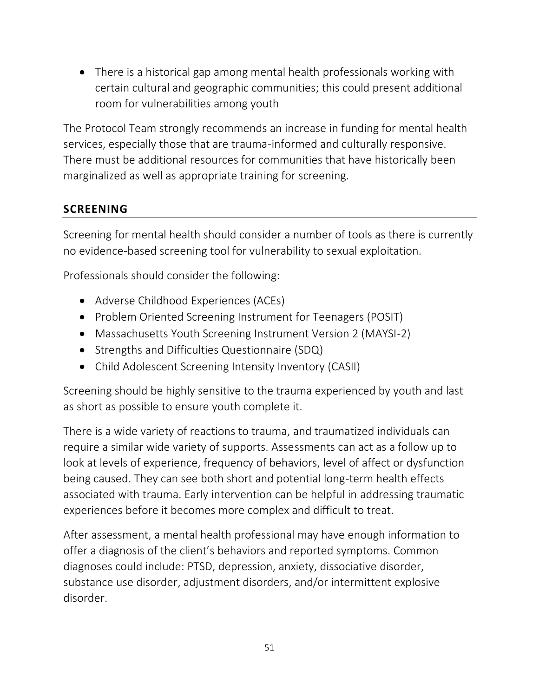• There is a historical gap among mental health professionals working with certain cultural and geographic communities; this could present additional room for vulnerabilities among youth

The Protocol Team strongly recommends an increase in funding for mental health services, especially those that are trauma-informed and culturally responsive. There must be additional resources for communities that have historically been marginalized as well as appropriate training for screening.

# **SCREENING**

Screening for mental health should consider a number of tools as there is currently no evidence-based screening tool for vulnerability to sexual exploitation.

Professionals should consider the following:

- Adverse Childhood Experiences (ACEs)
- Problem Oriented Screening Instrument for Teenagers (POSIT)
- Massachusetts Youth Screening Instrument Version 2 (MAYSI-2)
- Strengths and Difficulties Questionnaire (SDQ)
- Child Adolescent Screening Intensity Inventory (CASII)

Screening should be highly sensitive to the trauma experienced by youth and last as short as possible to ensure youth complete it.

There is a wide variety of reactions to trauma, and traumatized individuals can require a similar wide variety of supports. Assessments can act as a follow up to look at levels of experience, frequency of behaviors, level of affect or dysfunction being caused. They can see both short and potential long-term health effects associated with trauma. Early intervention can be helpful in addressing traumatic experiences before it becomes more complex and difficult to treat.

After assessment, a mental health professional may have enough information to offer a diagnosis of the client's behaviors and reported symptoms. Common diagnoses could include: PTSD, depression, anxiety, dissociative disorder, substance use disorder, adjustment disorders, and/or intermittent explosive disorder.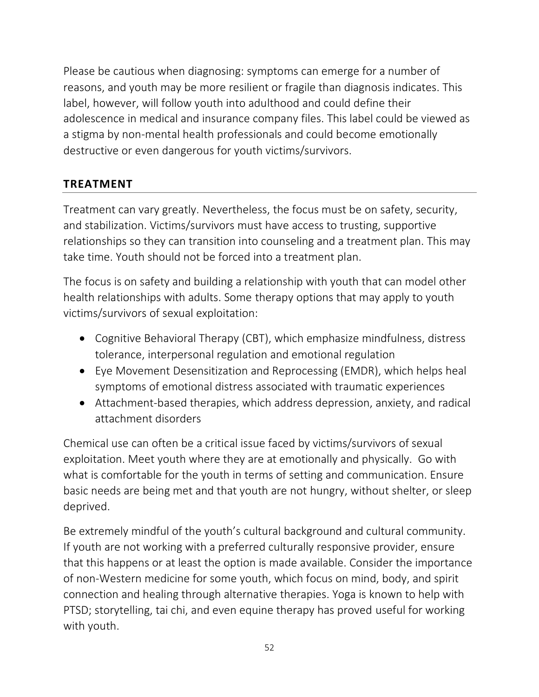Please be cautious when diagnosing: symptoms can emerge for a number of reasons, and youth may be more resilient or fragile than diagnosis indicates. This label, however, will follow youth into adulthood and could define their adolescence in medical and insurance company files. This label could be viewed as a stigma by non-mental health professionals and could become emotionally destructive or even dangerous for youth victims/survivors.

# **TREATMENT**

Treatment can vary greatly. Nevertheless, the focus must be on safety, security, and stabilization. Victims/survivors must have access to trusting, supportive relationships so they can transition into counseling and a treatment plan. This may take time. Youth should not be forced into a treatment plan.

The focus is on safety and building a relationship with youth that can model other health relationships with adults. Some therapy options that may apply to youth victims/survivors of sexual exploitation:

- Cognitive Behavioral Therapy (CBT), which emphasize mindfulness, distress tolerance, interpersonal regulation and emotional regulation
- Eye Movement Desensitization and Reprocessing (EMDR), which helps heal symptoms of emotional distress associated with traumatic experiences
- Attachment-based therapies, which address depression, anxiety, and radical attachment disorders

Chemical use can often be a critical issue faced by victims/survivors of sexual exploitation. Meet youth where they are at emotionally and physically. Go with what is comfortable for the youth in terms of setting and communication. Ensure basic needs are being met and that youth are not hungry, without shelter, or sleep deprived.

Be extremely mindful of the youth's cultural background and cultural community. If youth are not working with a preferred culturally responsive provider, ensure that this happens or at least the option is made available. Consider the importance of non-Western medicine for some youth, which focus on mind, body, and spirit connection and healing through alternative therapies. Yoga is known to help with PTSD; storytelling, tai chi, and even equine therapy has proved useful for working with youth.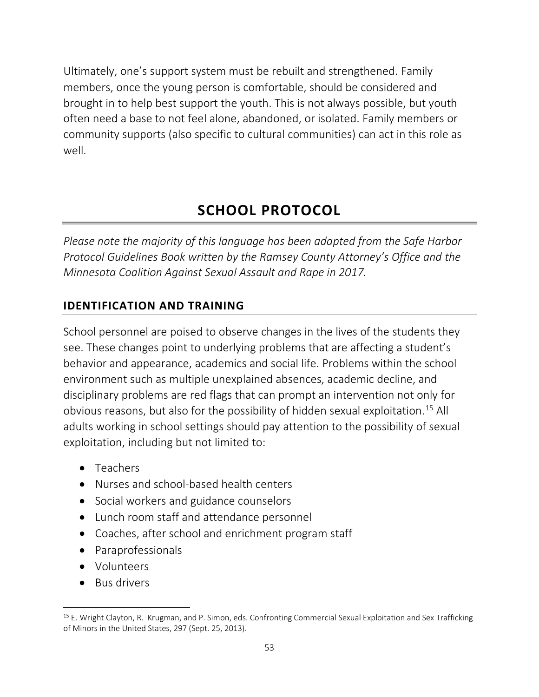Ultimately, one's support system must be rebuilt and strengthened. Family members, once the young person is comfortable, should be considered and brought in to help best support the youth. This is not always possible, but youth often need a base to not feel alone, abandoned, or isolated. Family members or community supports (also specific to cultural communities) can act in this role as well.

# **SCHOOL PROTOCOL**

*Please note the majority of this language has been adapted from the Safe Harbor Protocol Guidelines Book written by the Ramsey County Attorney's Office and the Minnesota Coalition Against Sexual Assault and Rape in 2017.*

### **IDENTIFICATION AND TRAINING**

School personnel are poised to observe changes in the lives of the students they see. These changes point to underlying problems that are affecting a student's behavior and appearance, academics and social life. Problems within the school environment such as multiple unexplained absences, academic decline, and disciplinary problems are red flags that can prompt an intervention not only for obvious reasons, but also for the possibility of hidden sexual exploitation.<sup>15</sup> All adults working in school settings should pay attention to the possibility of sexual exploitation, including but not limited to:

- Teachers
- Nurses and school-based health centers
- Social workers and guidance counselors
- Lunch room staff and attendance personnel
- Coaches, after school and enrichment program staff
- Paraprofessionals
- Volunteers
- Bus drivers

<sup>15</sup> E. Wright Clayton, R. Krugman, and P. Simon, eds. Confronting Commercial Sexual Exploitation and Sex Trafficking of Minors in the United States, 297 (Sept. 25, 2013).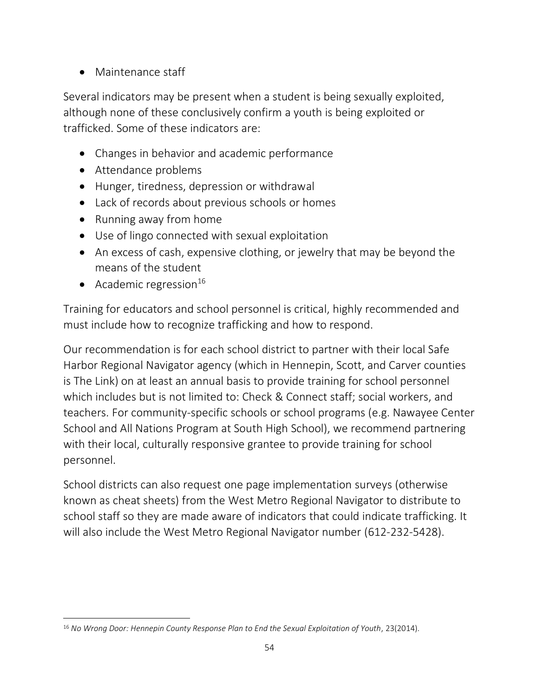• Maintenance staff

Several indicators may be present when a student is being sexually exploited, although none of these conclusively confirm a youth is being exploited or trafficked. Some of these indicators are:

- Changes in behavior and academic performance
- Attendance problems
- Hunger, tiredness, depression or withdrawal
- Lack of records about previous schools or homes
- Running away from home
- Use of lingo connected with sexual exploitation
- An excess of cash, expensive clothing, or jewelry that may be beyond the means of the student
- Academic regression $16$

Training for educators and school personnel is critical, highly recommended and must include how to recognize trafficking and how to respond.

Our recommendation is for each school district to partner with their local Safe Harbor Regional Navigator agency (which in Hennepin, Scott, and Carver counties is The Link) on at least an annual basis to provide training for school personnel which includes but is not limited to: Check & Connect staff; social workers, and teachers. For community-specific schools or school programs (e.g. Nawayee Center School and All Nations Program at South High School), we recommend partnering with their local, culturally responsive grantee to provide training for school personnel.

School districts can also request one page implementation surveys (otherwise known as cheat sheets) from the West Metro Regional Navigator to distribute to school staff so they are made aware of indicators that could indicate trafficking. It will also include the West Metro Regional Navigator number (612-232-5428).

<sup>16</sup> *No Wrong Door: Hennepin County Response Plan to End the Sexual Exploitation of Youth*, 23(2014).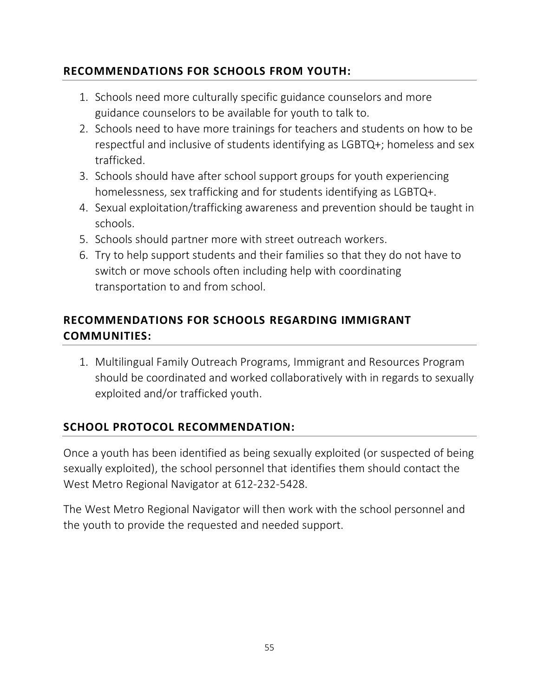# **RECOMMENDATIONS FOR SCHOOLS FROM YOUTH:**

- 1. Schools need more culturally specific guidance counselors and more guidance counselors to be available for youth to talk to.
- 2. Schools need to have more trainings for teachers and students on how to be respectful and inclusive of students identifying as LGBTQ+; homeless and sex trafficked.
- 3. Schools should have after school support groups for youth experiencing homelessness, sex trafficking and for students identifying as LGBTQ+.
- 4. Sexual exploitation/trafficking awareness and prevention should be taught in schools.
- 5. Schools should partner more with street outreach workers.
- 6. Try to help support students and their families so that they do not have to switch or move schools often including help with coordinating transportation to and from school.

# **RECOMMENDATIONS FOR SCHOOLS REGARDING IMMIGRANT COMMUNITIES:**

1. Multilingual Family Outreach Programs, Immigrant and Resources Program should be coordinated and worked collaboratively with in regards to sexually exploited and/or trafficked youth.

# **SCHOOL PROTOCOL RECOMMENDATION:**

Once a youth has been identified as being sexually exploited (or suspected of being sexually exploited), the school personnel that identifies them should contact the West Metro Regional Navigator at 612-232-5428.

The West Metro Regional Navigator will then work with the school personnel and the youth to provide the requested and needed support.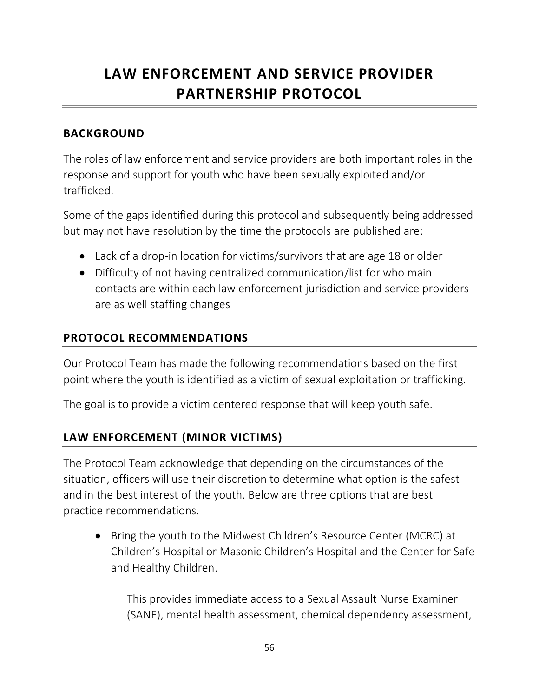# **LAW ENFORCEMENT AND SERVICE PROVIDER PARTNERSHIP PROTOCOL**

### **BACKGROUND**

The roles of law enforcement and service providers are both important roles in the response and support for youth who have been sexually exploited and/or trafficked.

Some of the gaps identified during this protocol and subsequently being addressed but may not have resolution by the time the protocols are published are:

- Lack of a drop-in location for victims/survivors that are age 18 or older
- Difficulty of not having centralized communication/list for who main contacts are within each law enforcement jurisdiction and service providers are as well staffing changes

### **PROTOCOL RECOMMENDATIONS**

Our Protocol Team has made the following recommendations based on the first point where the youth is identified as a victim of sexual exploitation or trafficking.

The goal is to provide a victim centered response that will keep youth safe.

### **LAW ENFORCEMENT (MINOR VICTIMS)**

The Protocol Team acknowledge that depending on the circumstances of the situation, officers will use their discretion to determine what option is the safest and in the best interest of the youth. Below are three options that are best practice recommendations.

• Bring the youth to the Midwest Children's Resource Center (MCRC) at Children's Hospital or Masonic Children's Hospital and the Center for Safe and Healthy Children.

This provides immediate access to a Sexual Assault Nurse Examiner (SANE), mental health assessment, chemical dependency assessment,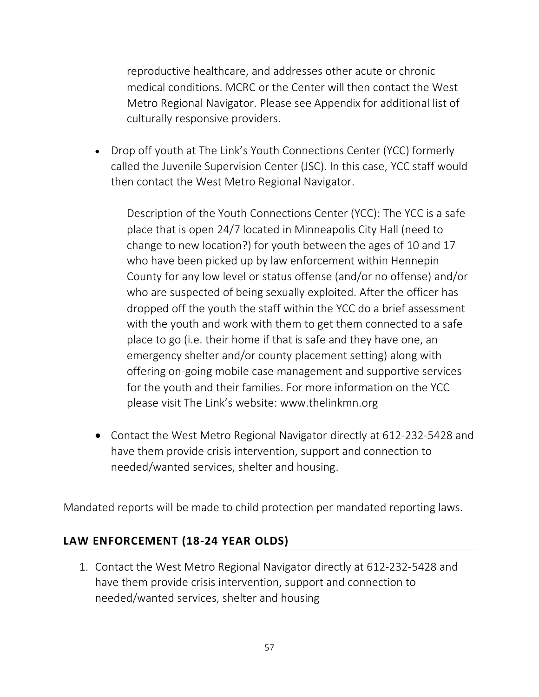reproductive healthcare, and addresses other acute or chronic medical conditions. MCRC or the Center will then contact the West Metro Regional Navigator. Please see Appendix for additional list of culturally responsive providers.

• Drop off youth at The Link's Youth Connections Center (YCC) formerly called the Juvenile Supervision Center (JSC). In this case, YCC staff would then contact the West Metro Regional Navigator.

Description of the Youth Connections Center (YCC): The YCC is a safe place that is open 24/7 located in Minneapolis City Hall (need to change to new location?) for youth between the ages of 10 and 17 who have been picked up by law enforcement within Hennepin County for any low level or status offense (and/or no offense) and/or who are suspected of being sexually exploited. After the officer has dropped off the youth the staff within the YCC do a brief assessment with the youth and work with them to get them connected to a safe place to go (i.e. their home if that is safe and they have one, an emergency shelter and/or county placement setting) along with offering on-going mobile case management and supportive services for the youth and their families. For more information on the YCC please visit The Link's website: www.thelinkmn.org

• Contact the West Metro Regional Navigator directly at 612-232-5428 and have them provide crisis intervention, support and connection to needed/wanted services, shelter and housing.

Mandated reports will be made to child protection per mandated reporting laws.

### **LAW ENFORCEMENT (18-24 YEAR OLDS)**

1. Contact the West Metro Regional Navigator directly at 612-232-5428 and have them provide crisis intervention, support and connection to needed/wanted services, shelter and housing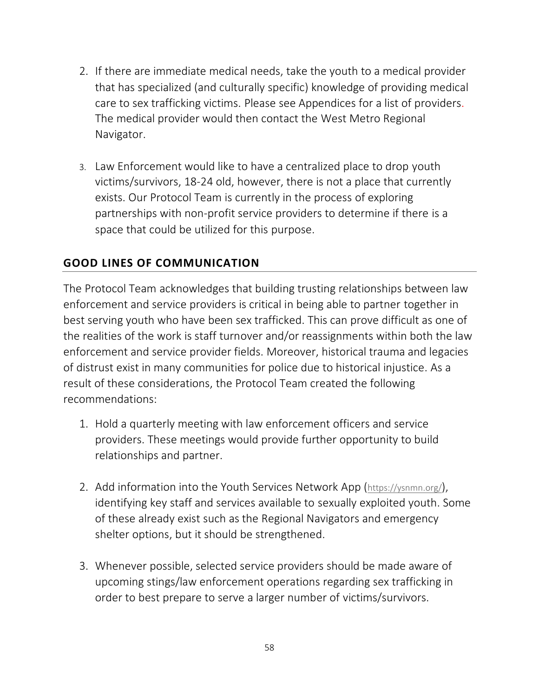- 2. If there are immediate medical needs, take the youth to a medical provider that has specialized (and culturally specific) knowledge of providing medical care to sex trafficking victims. Please see Appendices for a list of providers. The medical provider would then contact the West Metro Regional Navigator.
- 3. Law Enforcement would like to have a centralized place to drop youth victims/survivors, 18-24 old, however, there is not a place that currently exists. Our Protocol Team is currently in the process of exploring partnerships with non-profit service providers to determine if there is a space that could be utilized for this purpose.

### **GOOD LINES OF COMMUNICATION**

The Protocol Team acknowledges that building trusting relationships between law enforcement and service providers is critical in being able to partner together in best serving youth who have been sex trafficked. This can prove difficult as one of the realities of the work is staff turnover and/or reassignments within both the law enforcement and service provider fields. Moreover, historical trauma and legacies of distrust exist in many communities for police due to historical injustice. As a result of these considerations, the Protocol Team created the following recommendations:

- 1. Hold a quarterly meeting with law enforcement officers and service providers. These meetings would provide further opportunity to build relationships and partner.
- 2. Add information into the Youth Services Network App (<https://ysnmn.org/>), identifying key staff and services available to sexually exploited youth. Some of these already exist such as the Regional Navigators and emergency shelter options, but it should be strengthened.
- 3. Whenever possible, selected service providers should be made aware of upcoming stings/law enforcement operations regarding sex trafficking in order to best prepare to serve a larger number of victims/survivors.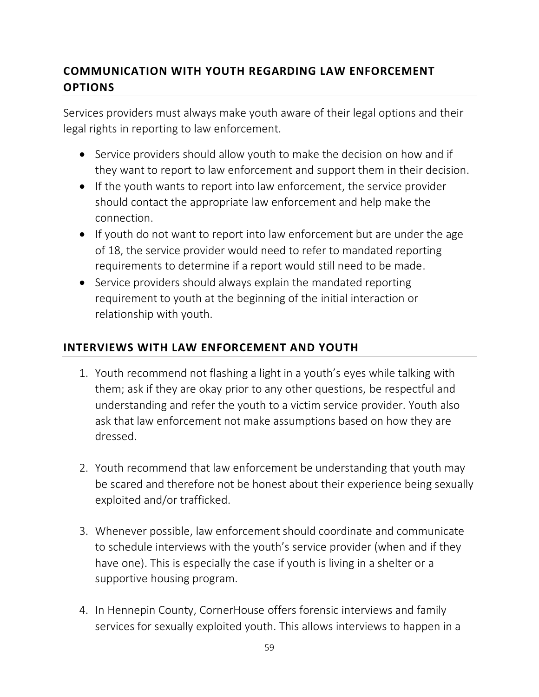# **COMMUNICATION WITH YOUTH REGARDING LAW ENFORCEMENT OPTIONS**

Services providers must always make youth aware of their legal options and their legal rights in reporting to law enforcement.

- Service providers should allow youth to make the decision on how and if they want to report to law enforcement and support them in their decision.
- If the youth wants to report into law enforcement, the service provider should contact the appropriate law enforcement and help make the connection.
- If youth do not want to report into law enforcement but are under the age of 18, the service provider would need to refer to mandated reporting requirements to determine if a report would still need to be made.
- Service providers should always explain the mandated reporting requirement to youth at the beginning of the initial interaction or relationship with youth.

### **INTERVIEWS WITH LAW ENFORCEMENT AND YOUTH**

- 1. Youth recommend not flashing a light in a youth's eyes while talking with them; ask if they are okay prior to any other questions, be respectful and understanding and refer the youth to a victim service provider. Youth also ask that law enforcement not make assumptions based on how they are dressed.
- 2. Youth recommend that law enforcement be understanding that youth may be scared and therefore not be honest about their experience being sexually exploited and/or trafficked.
- 3. Whenever possible, law enforcement should coordinate and communicate to schedule interviews with the youth's service provider (when and if they have one). This is especially the case if youth is living in a shelter or a supportive housing program.
- 4. In Hennepin County, CornerHouse offers forensic interviews and family services for sexually exploited youth. This allows interviews to happen in a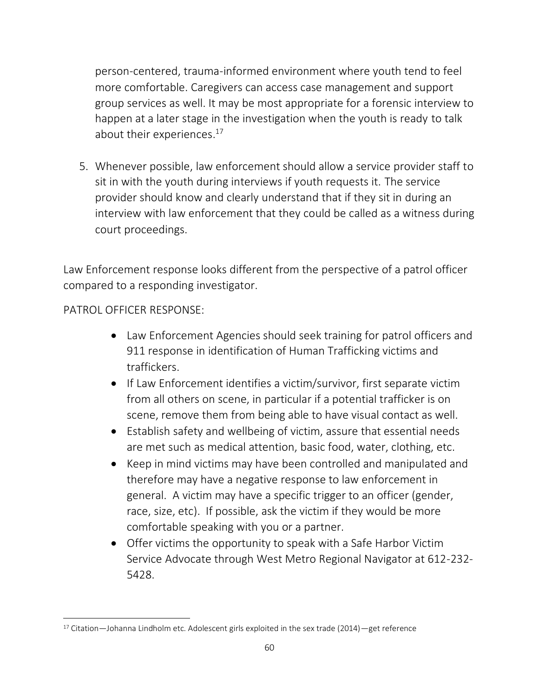person-centered, trauma-informed environment where youth tend to feel more comfortable. Caregivers can access case management and support group services as well. It may be most appropriate for a forensic interview to happen at a later stage in the investigation when the youth is ready to talk about their experiences.<sup>17</sup>

5. Whenever possible, law enforcement should allow a service provider staff to sit in with the youth during interviews if youth requests it. The service provider should know and clearly understand that if they sit in during an interview with law enforcement that they could be called as a witness during court proceedings.

Law Enforcement response looks different from the perspective of a patrol officer compared to a responding investigator.

### PATROL OFFICER RESPONSE:

- Law Enforcement Agencies should seek training for patrol officers and 911 response in identification of Human Trafficking victims and traffickers.
- If Law Enforcement identifies a victim/survivor, first separate victim from all others on scene, in particular if a potential trafficker is on scene, remove them from being able to have visual contact as well.
- Establish safety and wellbeing of victim, assure that essential needs are met such as medical attention, basic food, water, clothing, etc.
- Keep in mind victims may have been controlled and manipulated and therefore may have a negative response to law enforcement in general. A victim may have a specific trigger to an officer (gender, race, size, etc). If possible, ask the victim if they would be more comfortable speaking with you or a partner.
- Offer victims the opportunity to speak with a Safe Harbor Victim Service Advocate through West Metro Regional Navigator at 612-232- 5428.

<sup>17</sup> Citation—Johanna Lindholm etc. Adolescent girls exploited in the sex trade (2014)—get reference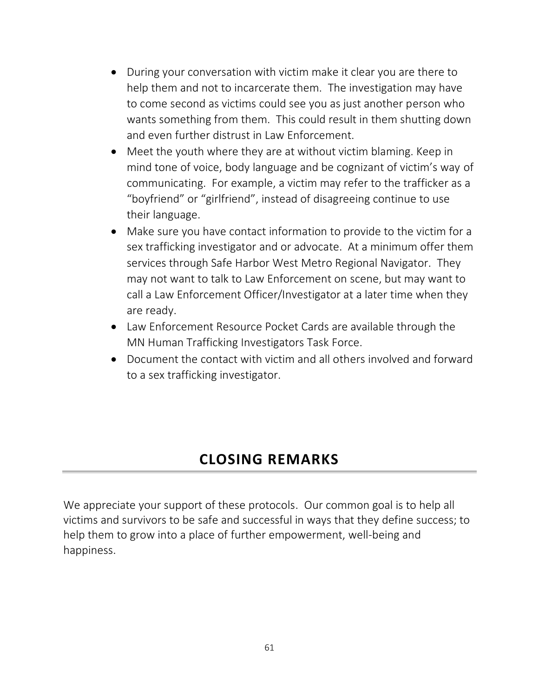- During your conversation with victim make it clear you are there to help them and not to incarcerate them. The investigation may have to come second as victims could see you as just another person who wants something from them. This could result in them shutting down and even further distrust in Law Enforcement.
- Meet the youth where they are at without victim blaming. Keep in mind tone of voice, body language and be cognizant of victim's way of communicating. For example, a victim may refer to the trafficker as a "boyfriend" or "girlfriend", instead of disagreeing continue to use their language.
- Make sure you have contact information to provide to the victim for a sex trafficking investigator and or advocate. At a minimum offer them services through Safe Harbor West Metro Regional Navigator. They may not want to talk to Law Enforcement on scene, but may want to call a Law Enforcement Officer/Investigator at a later time when they are ready.
- Law Enforcement Resource Pocket Cards are available through the MN Human Trafficking Investigators Task Force.
- Document the contact with victim and all others involved and forward to a sex trafficking investigator.

# **CLOSING REMARKS**

We appreciate your support of these protocols. Our common goal is to help all victims and survivors to be safe and successful in ways that they define success; to help them to grow into a place of further empowerment, well-being and happiness.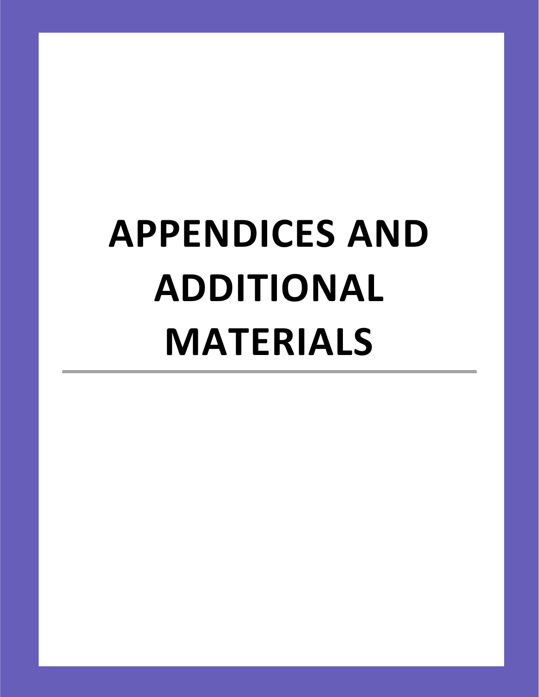# **APPENDICES AND ADDITIONAL MATERIALS**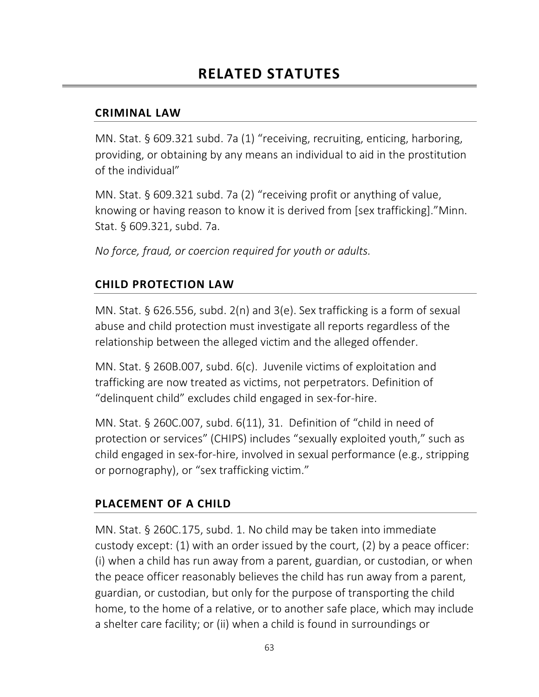### **CRIMINAL LAW**

MN. Stat. § 609.321 subd. 7a (1) "receiving, recruiting, enticing, harboring, providing, or obtaining by any means an individual to aid in the prostitution of the individual"

MN. Stat. § 609.321 subd. 7a (2) "receiving profit or anything of value, knowing or having reason to know it is derived from [sex trafficking]."Minn. Stat. § 609.321, subd. 7a.

*No force, fraud, or coercion required for youth or adults.*

# **CHILD PROTECTION LAW**

MN. Stat. § 626.556, subd. 2(n) and 3(e). Sex trafficking is a form of sexual abuse and child protection must investigate all reports regardless of the relationship between the alleged victim and the alleged offender.

MN. Stat. § 260B.007, subd. 6(c). Juvenile victims of exploitation and trafficking are now treated as victims, not perpetrators. Definition of "delinquent child" excludes child engaged in sex-for-hire.

MN. Stat. § 260C.007, subd. 6(11), 31. Definition of "child in need of protection or services" (CHIPS) includes "sexually exploited youth," such as child engaged in sex-for-hire, involved in sexual performance (e.g., stripping or pornography), or "sex trafficking victim."

### **PLACEMENT OF A CHILD**

MN. Stat. § 260C.175, subd. 1. No child may be taken into immediate custody except: (1) with an order issued by the court, (2) by a peace officer: (i) when a child has run away from a parent, guardian, or custodian, or when the peace officer reasonably believes the child has run away from a parent, guardian, or custodian, but only for the purpose of transporting the child home, to the home of a relative, or to another safe place, which may include a shelter care facility; or (ii) when a child is found in surroundings or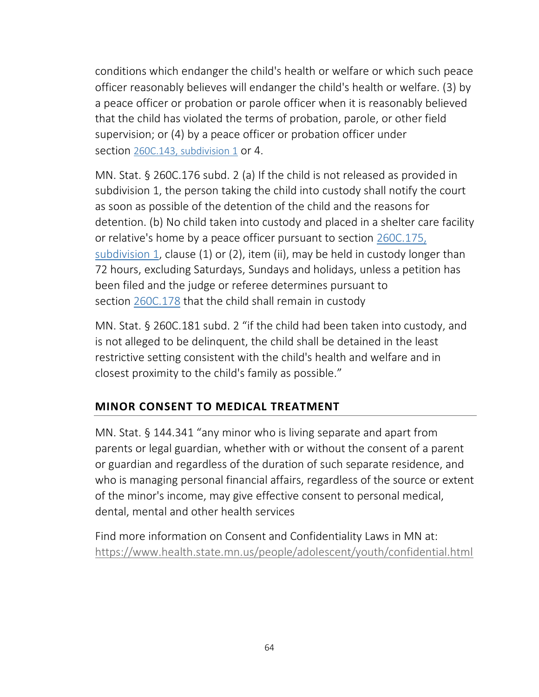conditions which endanger the child's health or welfare or which such peace officer reasonably believes will endanger the child's health or welfare. (3) by a peace officer or probation or parole officer when it is reasonably believed that the child has violated the terms of probation, parole, or other field supervision; or (4) by a peace officer or probation officer under section [260C.143, subdivision 1](https://www.revisor.mn.gov/statutes/cite/260C.143#stat.260C.143.1) or 4.

MN. Stat. § 260C.176 subd. 2 (a) If the child is not released as provided in subdivision 1, the person taking the child into custody shall notify the court as soon as possible of the detention of the child and the reasons for detention. (b) No child taken into custody and placed in a shelter care facility or relative's home by a peace officer pursuant to section [260C.175,](https://www.revisor.mn.gov/statutes/cite/260C.175#stat.260C.175.1)  [subdivision 1,](https://www.revisor.mn.gov/statutes/cite/260C.175#stat.260C.175.1) clause (1) or (2), item (ii), may be held in custody longer than 72 hours, excluding Saturdays, Sundays and holidays, unless a petition has been filed and the judge or referee determines pursuant to section [260C.178](https://www.revisor.mn.gov/statutes/cite/260C.178) that the child shall remain in custody

MN. Stat. § 260C.181 subd. 2 "if the child had been taken into custody, and is not alleged to be delinquent, the child shall be detained in the least restrictive setting consistent with the child's health and welfare and in closest proximity to the child's family as possible."

# **MINOR CONSENT TO MEDICAL TREATMENT**

MN. Stat. § 144.341 "any minor who is living separate and apart from parents or legal guardian, whether with or without the consent of a parent or guardian and regardless of the duration of such separate residence, and who is managing personal financial affairs, regardless of the source or extent of the minor's income, may give effective consent to personal medical, dental, mental and other health services

Find more information on Consent and Confidentiality Laws in MN at: <https://www.health.state.mn.us/people/adolescent/youth/confidential.html>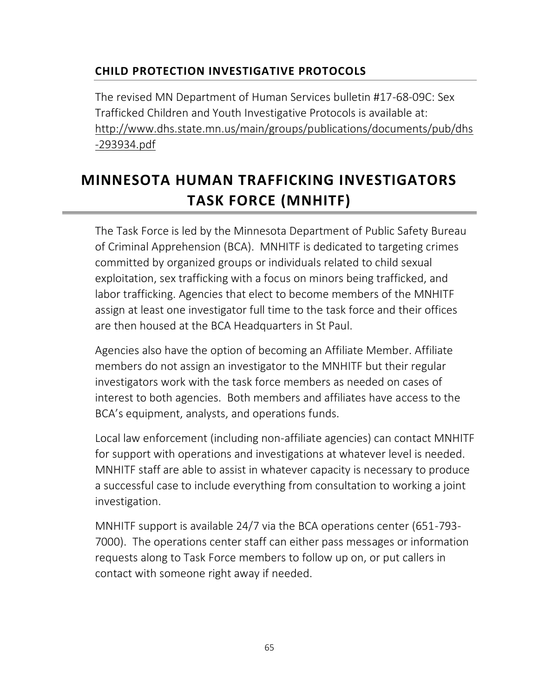# **CHILD PROTECTION INVESTIGATIVE PROTOCOLS**

The revised MN Department of Human Services bulletin #17-68-09C: Sex Trafficked Children and Youth Investigative Protocols is available at: [http://www.dhs.state.mn.us/main/groups/publications/documents/pub/dhs](http://www.dhs.state.mn.us/main/groups/publications/documents/pub/dhs-293934.pdf) [-293934.pdf](http://www.dhs.state.mn.us/main/groups/publications/documents/pub/dhs-293934.pdf)

# **MINNESOTA HUMAN TRAFFICKING INVESTIGATORS TASK FORCE (MNHITF)**

The Task Force is led by the Minnesota Department of Public Safety Bureau of Criminal Apprehension (BCA). MNHITF is dedicated to targeting crimes committed by organized groups or individuals related to child sexual exploitation, sex trafficking with a focus on minors being trafficked, and labor trafficking. Agencies that elect to become members of the MNHITF assign at least one investigator full time to the task force and their offices are then housed at the BCA Headquarters in St Paul.

Agencies also have the option of becoming an Affiliate Member. Affiliate members do not assign an investigator to the MNHITF but their regular investigators work with the task force members as needed on cases of interest to both agencies. Both members and affiliates have access to the BCA's equipment, analysts, and operations funds.

Local law enforcement (including non-affiliate agencies) can contact MNHITF for support with operations and investigations at whatever level is needed. MNHITF staff are able to assist in whatever capacity is necessary to produce a successful case to include everything from consultation to working a joint investigation.

MNHITF support is available 24/7 via the BCA operations center (651-793- 7000). The operations center staff can either pass messages or information requests along to Task Force members to follow up on, or put callers in contact with someone right away if needed.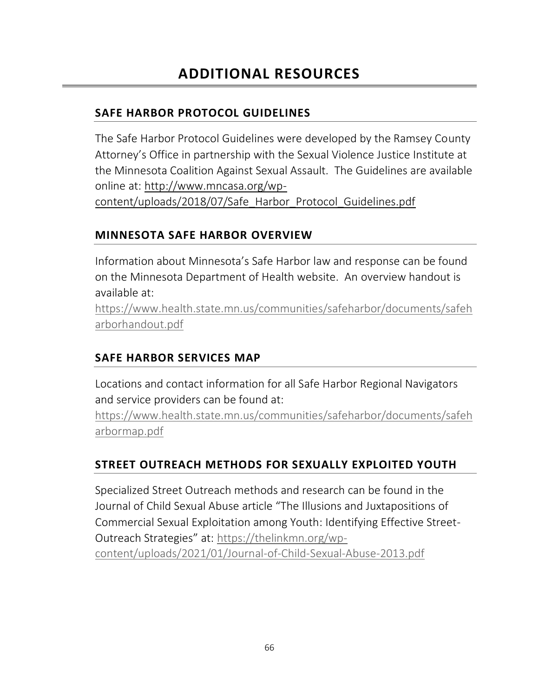# **ADDITIONAL RESOURCES**

### **SAFE HARBOR PROTOCOL GUIDELINES**

The Safe Harbor Protocol Guidelines were developed by the Ramsey County Attorney's Office in partnership with the Sexual Violence Justice Institute at the Minnesota Coalition Against Sexual Assault. The Guidelines are available online at: [http://www.mncasa.org/wp](http://www.mncasa.org/wp-content/uploads/2018/07/Safe_Harbor_Protocol_Guidelines.pdf)[content/uploads/2018/07/Safe\\_Harbor\\_Protocol\\_Guidelines.pdf](http://www.mncasa.org/wp-content/uploads/2018/07/Safe_Harbor_Protocol_Guidelines.pdf)

### **MINNESOTA SAFE HARBOR OVERVIEW**

Information about Minnesota's Safe Harbor law and response can be found on the Minnesota Department of Health website. An overview handout is available at:

[https://www.health.state.mn.us/communities/safeharbor/documents/safeh](https://www.health.state.mn.us/communities/safeharbor/documents/safeharborhandout.pdf) [arborhandout.pdf](https://www.health.state.mn.us/communities/safeharbor/documents/safeharborhandout.pdf)

### **SAFE HARBOR SERVICES MAP**

Locations and contact information for all Safe Harbor Regional Navigators and service providers can be found at:

[https://www.health.state.mn.us/communities/safeharbor/documents/safeh](https://www.health.state.mn.us/communities/safeharbor/documents/safeharbormap.pdf) [arbormap.pdf](https://www.health.state.mn.us/communities/safeharbor/documents/safeharbormap.pdf)

### **STREET OUTREACH METHODS FOR SEXUALLY EXPLOITED YOUTH**

Specialized Street Outreach methods and research can be found in the Journal of Child Sexual Abuse article "The Illusions and Juxtapositions of Commercial Sexual Exploitation among Youth: Identifying Effective Street-Outreach Strategies" at: [https://thelinkmn.org/wp](https://thelinkmn.org/wp-content/uploads/2021/01/Journal-of-Child-Sexual-Abuse-2013.pdf)[content/uploads/2021/01/Journal-of-Child-Sexual-Abuse-2013.pdf](https://thelinkmn.org/wp-content/uploads/2021/01/Journal-of-Child-Sexual-Abuse-2013.pdf)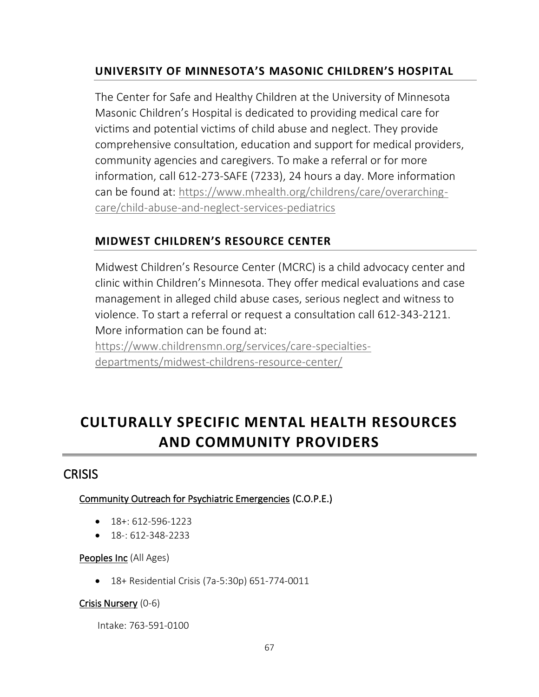### **UNIVERSITY OF MINNESOTA'S MASONIC CHILDREN'S HOSPITAL**

The Center for Safe and Healthy Children at the University of Minnesota Masonic Children's Hospital is dedicated to providing medical care for victims and potential victims of child abuse and neglect. They provide comprehensive consultation, education and support for medical providers, community agencies and caregivers. To make a referral or for more information, call 612-273-SAFE (7233), 24 hours a day. More information can be found at: [https://www.mhealth.org/childrens/care/overarching](https://www.mhealth.org/childrens/care/overarching-care/child-abuse-and-neglect-services-pediatrics)[care/child-abuse-and-neglect-services-pediatrics](https://www.mhealth.org/childrens/care/overarching-care/child-abuse-and-neglect-services-pediatrics)

### **MIDWEST CHILDREN'S RESOURCE CENTER**

Midwest Children's Resource Center (MCRC) is a child advocacy center and clinic within Children's Minnesota. They offer medical evaluations and case management in alleged child abuse cases, serious neglect and witness to violence. To start a referral or request a consultation call 612-343-2121. More information can be found at:

[https://www.childrensmn.org/services/care-specialties](https://www.childrensmn.org/services/care-specialties-departments/midwest-childrens-resource-center/)[departments/midwest-childrens-resource-center/](https://www.childrensmn.org/services/care-specialties-departments/midwest-childrens-resource-center/)

# **CULTURALLY SPECIFIC MENTAL HEALTH RESOURCES AND COMMUNITY PROVIDERS**

### **CRISIS**

### Community Outreach for Psychiatric Emergencies (C.O.P.E.)

- 18+: 612-596-1223
- 18-: 612-348-2233

### Peoples Inc (All Ages)

• 18+ Residential Crisis (7a-5:30p) 651-774-0011

### Crisis Nursery (0-6)

Intake: 763-591-0100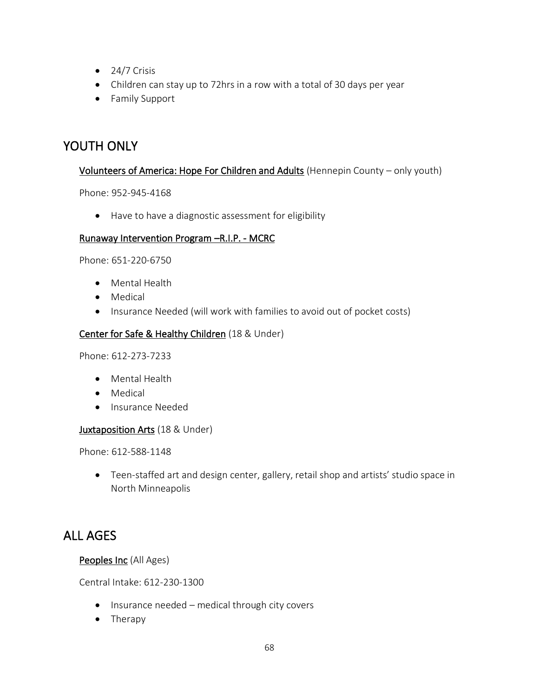- 24/7 Crisis
- Children can stay up to 72hrs in a row with a total of 30 days per year
- Family Support

# YOUTH ONLY

### Volunteers of America: Hope For Children and Adults (Hennepin County – only youth)

Phone: 952-945-4168

• Have to have a diagnostic assessment for eligibility

### Runaway Intervention Program –R.I.P. - MCRC

Phone: 651-220-6750

- Mental Health
- Medical
- Insurance Needed (will work with families to avoid out of pocket costs)

### Center for Safe & Healthy Children (18 & Under)

Phone: 612-273-7233

- Mental Health
- Medical
- Insurance Needed

### **Juxtaposition Arts** (18 & Under)

Phone: 612-588-1148

• Teen-staffed art and design center, gallery, retail shop and artists' studio space in North Minneapolis

# ALL AGES

### Peoples Inc (All Ages)

Central Intake: 612-230-1300

- Insurance needed medical through city covers
- Therapy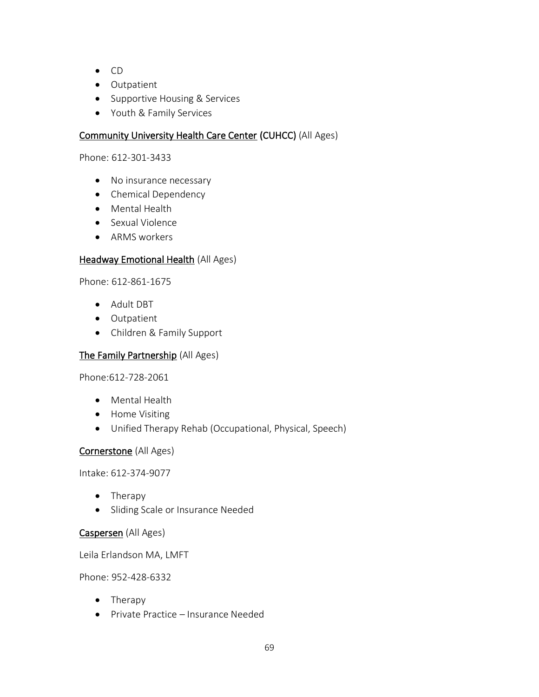- CD
- Outpatient
- Supportive Housing & Services
- Youth & Family Services

### Community University Health Care Center (CUHCC) (All Ages)

#### Phone: 612-301-3433

- No insurance necessary
- Chemical Dependency
- Mental Health
- Sexual Violence
- ARMS workers

### Headway Emotional Health (All Ages)

Phone: 612-861-1675

- Adult DBT
- Outpatient
- Children & Family Support

### The Family Partnership (All Ages)

Phone:612-728-2061

- Mental Health
- Home Visiting
- Unified Therapy Rehab (Occupational, Physical, Speech)

### Cornerstone (All Ages)

Intake: 612-374-9077

- Therapy
- Sliding Scale or Insurance Needed

### Caspersen (All Ages)

Leila Erlandson MA, LMFT

Phone: 952-428-6332

- Therapy
- Private Practice Insurance Needed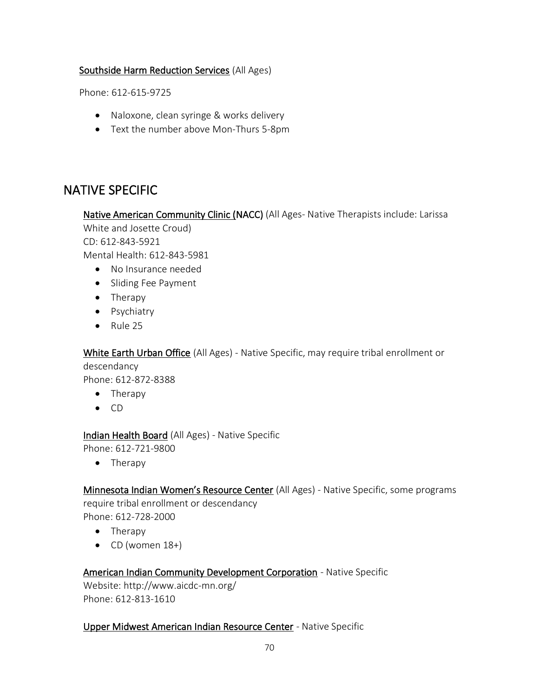### Southside Harm Reduction Services (All Ages)

Phone: 612-615-9725

- Naloxone, clean syringe & works delivery
- Text the number above Mon-Thurs 5-8pm

# NATIVE SPECIFIC

Native American Community Clinic (NACC) (All Ages- Native Therapists include: Larissa

White and Josette Croud) CD: 612-843-5921 Mental Health: 612-843-5981

- No Insurance needed
- Sliding Fee Payment
- Therapy
- Psychiatry
- Rule 25

White Earth Urban Office (All Ages) - Native Specific, may require tribal enrollment or descendancy

Phone: 612-872-8388

- Therapy
- CD

**Indian Health Board (All Ages) - Native Specific** 

Phone: 612-721-9800

• Therapy

Minnesota Indian Women's Resource Center (All Ages) - Native Specific, some programs

require tribal enrollment or descendancy Phone: 612-728-2000

- Therapy
- CD (women 18+)

American Indian Community Development Corporation - Native Specific

Website: http://www.aicdc-mn.org/ Phone: 612-813-1610

### Upper Midwest American Indian Resource Center - Native Specific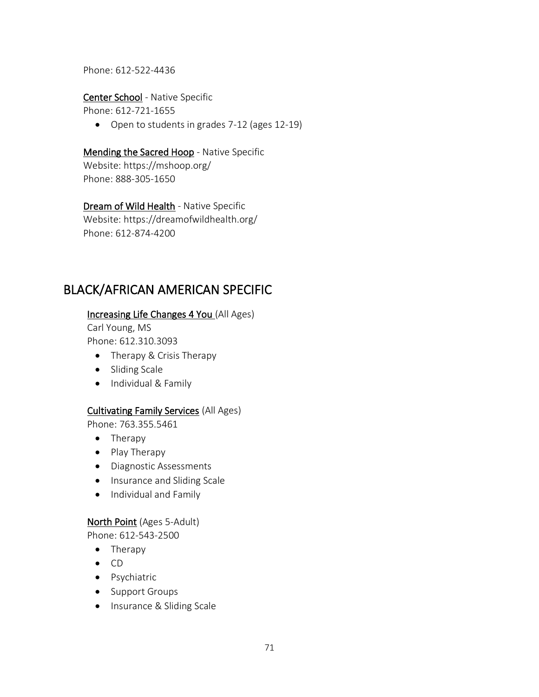Phone: 612-522-4436

#### Center School - Native Specific

Phone: 612-721-1655

• Open to students in grades 7-12 (ages 12-19)

### Mending the Sacred Hoop - Native Specific

Website: https://mshoop.org/ Phone: 888-305-1650

Dream of Wild Health - Native Specific Website: https://dreamofwildhealth.org/ Phone: 612-874-4200

# BLACK/AFRICAN AMERICAN SPECIFIC

#### Increasing Life Changes 4 You (All Ages)

Carl Young, MS Phone: 612.310.3093

- Therapy & Crisis Therapy
- Sliding Scale
- Individual & Family

#### Cultivating Family Services (All Ages)

Phone: 763.355.5461

- Therapy
- Play Therapy
- Diagnostic Assessments
- Insurance and Sliding Scale
- Individual and Family

#### North Point (Ages 5-Adult)

Phone: 612-543-2500

- Therapy
- CD
- Psychiatric
- Support Groups
- Insurance & Sliding Scale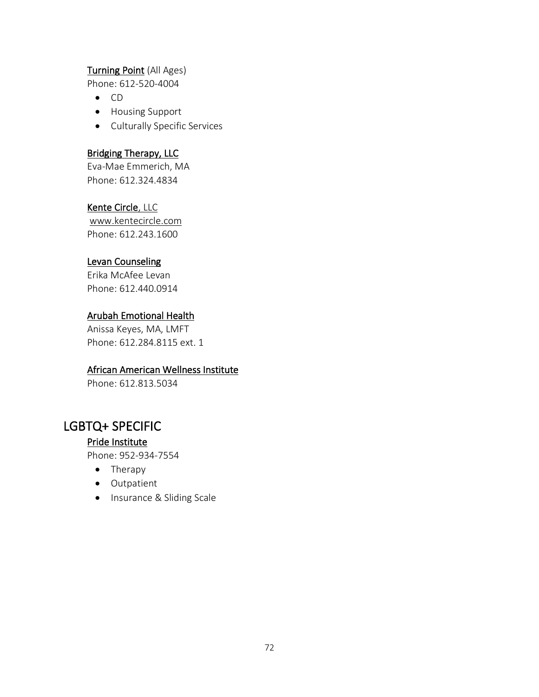#### Turning Point (All Ages)

Phone: 612-520-4004

- CD
- Housing Support
- Culturally Specific Services

### Bridging Therapy, LLC

Eva-Mae Emmerich, MA Phone: 612.324.4834

### Kente Circle, LLC

www.kentecircle.com Phone: 612.243.1600

### Levan Counseling

Erika McAfee Levan Phone: 612.440.0914

### Arubah Emotional Health

Anissa Keyes, MA, LMFT Phone: 612.284.8115 ext. 1

#### African American Wellness Institute

Phone: 612.813.5034

# LGBTQ+ SPECIFIC

### Pride Institute

Phone: 952-934-7554

- Therapy
- Outpatient
- Insurance & Sliding Scale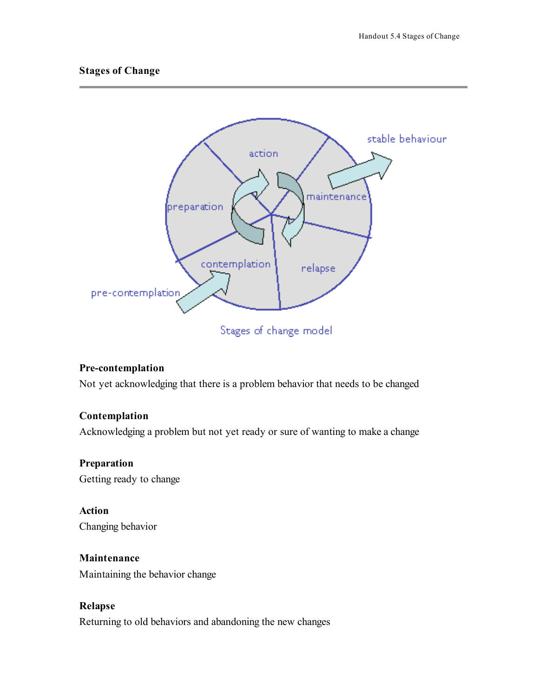## **Stages of Change**



Stages of change model

#### **Pre-contemplation**

Not yet acknowledging that there is a problem behavior that needs to be changed

### **Contemplation**

Acknowledging a problem but not yet ready or sure of wanting to make a change

#### **Preparation**

Getting ready to change

# **Action**

Changing behavior

#### **Maintenance**

Maintaining the behavior change

## **Relapse**

Returning to old behaviors and abandoning the new changes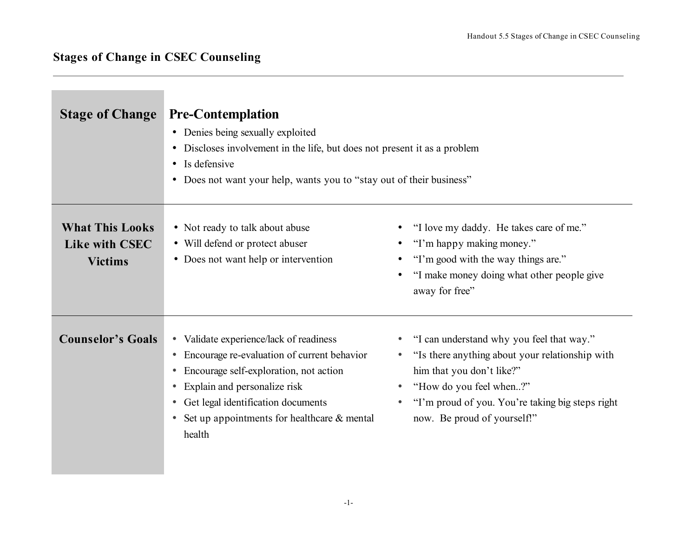# **Stages of Change in CSEC Counseling**

| <b>Stage of Change</b>                                     | <b>Pre-Contemplation</b><br>• Denies being sexually exploited<br>Discloses involvement in the life, but does not present it as a problem<br>• Is defensive<br>Does not want your help, wants you to "stay out of their business"<br>$\bullet$                                             |                                                                                                                                                                                                                                             |
|------------------------------------------------------------|-------------------------------------------------------------------------------------------------------------------------------------------------------------------------------------------------------------------------------------------------------------------------------------------|---------------------------------------------------------------------------------------------------------------------------------------------------------------------------------------------------------------------------------------------|
| <b>What This Looks</b><br>Like with CSEC<br><b>Victims</b> | • Not ready to talk about abuse<br>• Will defend or protect abuser<br>• Does not want help or intervention                                                                                                                                                                                | • "I love my daddy. He takes care of me."<br>"I'm happy making money."<br>"I'm good with the way things are."<br>"I make money doing what other people give<br>away for free"                                                               |
| <b>Counselor's Goals</b>                                   | • Validate experience/lack of readiness<br>Encourage re-evaluation of current behavior<br>$\bullet$<br>Encourage self-exploration, not action<br>Explain and personalize risk<br>Get legal identification documents<br>Set up appointments for healthcare & mental<br>$\bullet$<br>health | • "I can understand why you feel that way."<br>"Is there anything about your relationship with<br>him that you don't like?"<br>"How do you feel when?"<br>• "I'm proud of you. You're taking big steps right<br>now. Be proud of yourself!" |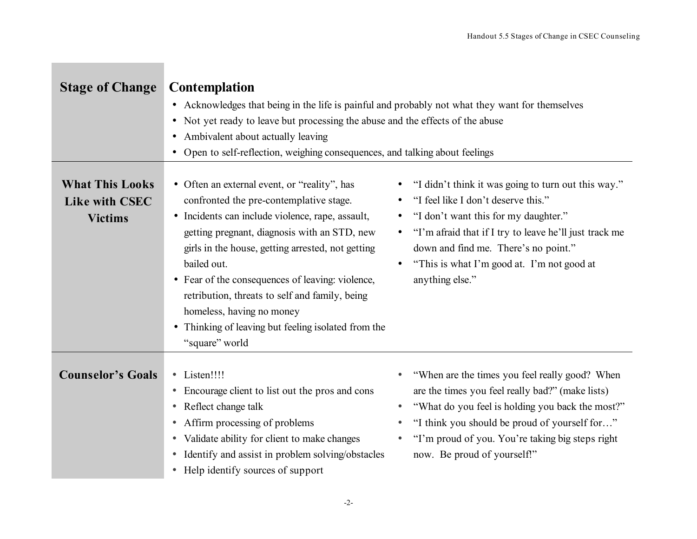| <b>Stage of Change</b>                                     | <b>Contemplation</b>                                                                                                                                                                                                                                                                                                                                                                                                                                                                   |                                                                                                                                                                                                                                                                                                             |
|------------------------------------------------------------|----------------------------------------------------------------------------------------------------------------------------------------------------------------------------------------------------------------------------------------------------------------------------------------------------------------------------------------------------------------------------------------------------------------------------------------------------------------------------------------|-------------------------------------------------------------------------------------------------------------------------------------------------------------------------------------------------------------------------------------------------------------------------------------------------------------|
|                                                            | Acknowledges that being in the life is painful and probably not what they want for themselves<br>$\bullet$                                                                                                                                                                                                                                                                                                                                                                             |                                                                                                                                                                                                                                                                                                             |
|                                                            | Not yet ready to leave but processing the abuse and the effects of the abuse<br>$\bullet$                                                                                                                                                                                                                                                                                                                                                                                              |                                                                                                                                                                                                                                                                                                             |
|                                                            | Ambivalent about actually leaving<br>$\bullet$                                                                                                                                                                                                                                                                                                                                                                                                                                         |                                                                                                                                                                                                                                                                                                             |
|                                                            | Open to self-reflection, weighing consequences, and talking about feelings<br>$\bullet$                                                                                                                                                                                                                                                                                                                                                                                                |                                                                                                                                                                                                                                                                                                             |
| <b>What This Looks</b><br>Like with CSEC<br><b>Victims</b> | • Often an external event, or "reality", has<br>confronted the pre-contemplative stage.<br>• Incidents can include violence, rape, assault,<br>getting pregnant, diagnosis with an STD, new<br>girls in the house, getting arrested, not getting<br>bailed out.<br>• Fear of the consequences of leaving: violence,<br>retribution, threats to self and family, being<br>homeless, having no money<br>Thinking of leaving but feeling isolated from the<br>$\bullet$<br>"square" world | • "I didn't think it was going to turn out this way."<br>"I feel like I don't deserve this."<br>• "I don't want this for my daughter."<br>• "I'm afraid that if I try to leave he'll just track me<br>down and find me. There's no point."<br>"This is what I'm good at. I'm not good at<br>anything else." |
| <b>Counselor's Goals</b>                                   | • Listen!!!!<br>Encourage client to list out the pros and cons<br>$\bullet$<br>Reflect change talk<br>$\bullet$<br>Affirm processing of problems<br>$\bullet$<br>Validate ability for client to make changes<br>$\bullet$<br>Identify and assist in problem solving/obstacles<br>$\bullet$<br>Help identify sources of support<br>$\bullet$                                                                                                                                            | "When are the times you feel really good? When<br>are the times you feel really bad?" (make lists)<br>"What do you feel is holding you back the most?"<br>"I think you should be proud of yourself for"<br>"I'm proud of you. You're taking big steps right<br>$\bullet$<br>now. Be proud of yourself!"     |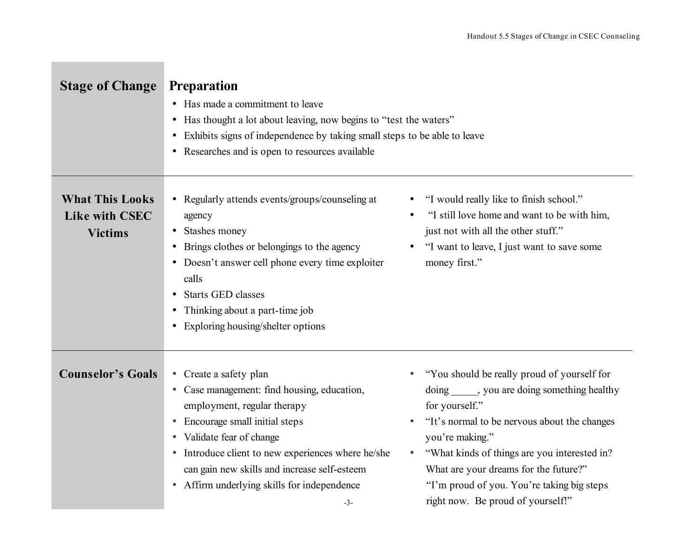| <b>Stage of Change</b>                                     | <b>Preparation</b><br>Has made a commitment to leave<br>$\bullet$<br>Has thought a lot about leaving, now begins to "test the waters"<br>$\bullet$<br>Exhibits signs of independence by taking small steps to be able to leave<br>$\bullet$<br>• Researches and is open to resources available                                                                                            |                                                                                                                                                                                                                                                                                                                                                               |
|------------------------------------------------------------|-------------------------------------------------------------------------------------------------------------------------------------------------------------------------------------------------------------------------------------------------------------------------------------------------------------------------------------------------------------------------------------------|---------------------------------------------------------------------------------------------------------------------------------------------------------------------------------------------------------------------------------------------------------------------------------------------------------------------------------------------------------------|
| <b>What This Looks</b><br>Like with CSEC<br><b>Victims</b> | • Regularly attends events/groups/counseling at<br>agency<br>Stashes money<br>$\bullet$<br>Brings clothes or belongings to the agency<br>$\bullet$<br>Doesn't answer cell phone every time exploiter<br>$\bullet$<br>calls<br><b>Starts GED classes</b><br>$\bullet$<br>Thinking about a part-time job<br>$\bullet$<br>Exploring housing/shelter options<br>$\bullet$                     | "I would really like to finish school."<br>"I still love home and want to be with him,<br>just not with all the other stuff."<br>"I want to leave, I just want to save some<br>money first."                                                                                                                                                                  |
| <b>Counselor's Goals</b>                                   | • Create a safety plan<br>Case management: find housing, education,<br>$\bullet$<br>employment, regular therapy<br>Encourage small initial steps<br>$\bullet$<br>Validate fear of change<br>$\bullet$<br>Introduce client to new experiences where he/she<br>$\bullet$<br>can gain new skills and increase self-esteem<br>Affirm underlying skills for independence<br>$\bullet$<br>$-3-$ | "You should be really proud of yourself for<br>doing ______, you are doing something healthy<br>for yourself."<br>"It's normal to be nervous about the changes<br>you're making."<br>"What kinds of things are you interested in?<br>What are your dreams for the future?"<br>"I'm proud of you. You're taking big steps<br>right now. Be proud of yourself!" |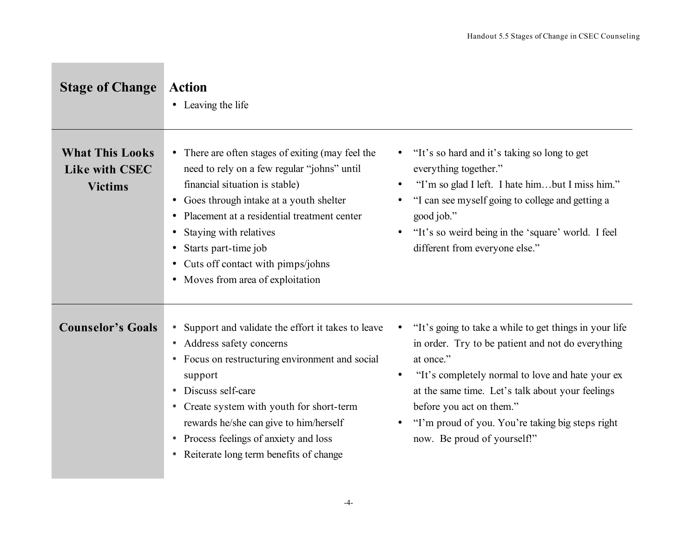| <b>Stage of Change</b>                                            | <b>Action</b><br>• Leaving the life                                                                                                                                                                                                                                                                                                                         |                                                                                                                                                                                                                                                                                                                                                                   |
|-------------------------------------------------------------------|-------------------------------------------------------------------------------------------------------------------------------------------------------------------------------------------------------------------------------------------------------------------------------------------------------------------------------------------------------------|-------------------------------------------------------------------------------------------------------------------------------------------------------------------------------------------------------------------------------------------------------------------------------------------------------------------------------------------------------------------|
| <b>What This Looks</b><br><b>Like with CSEC</b><br><b>Victims</b> | • There are often stages of exiting (may feel the<br>need to rely on a few regular "johns" until<br>financial situation is stable)<br>• Goes through intake at a youth shelter<br>Placement at a residential treatment center<br>Staying with relatives<br>Starts part-time job<br>• Cuts off contact with pimps/johns<br>• Moves from area of exploitation | • "It's so hard and it's taking so long to get<br>everything together."<br>"I'm so glad I left. I hate himbut I miss him."<br>"I can see myself going to college and getting a<br>good job."<br>"It's so weird being in the 'square' world. I feel<br>different from everyone else."                                                                              |
| <b>Counselor's Goals</b>                                          | • Support and validate the effort it takes to leave<br>• Address safety concerns<br>• Focus on restructuring environment and social<br>support<br>Discuss self-care<br>• Create system with youth for short-term<br>rewards he/she can give to him/herself<br>• Process feelings of anxiety and loss<br>• Reiterate long term benefits of change            | • "It's going to take a while to get things in your life"<br>in order. Try to be patient and not do everything<br>at once."<br>"It's completely normal to love and hate your ex<br>$\bullet$<br>at the same time. Let's talk about your feelings<br>before you act on them."<br>• "I'm proud of you. You're taking big steps right<br>now. Be proud of yourself!" |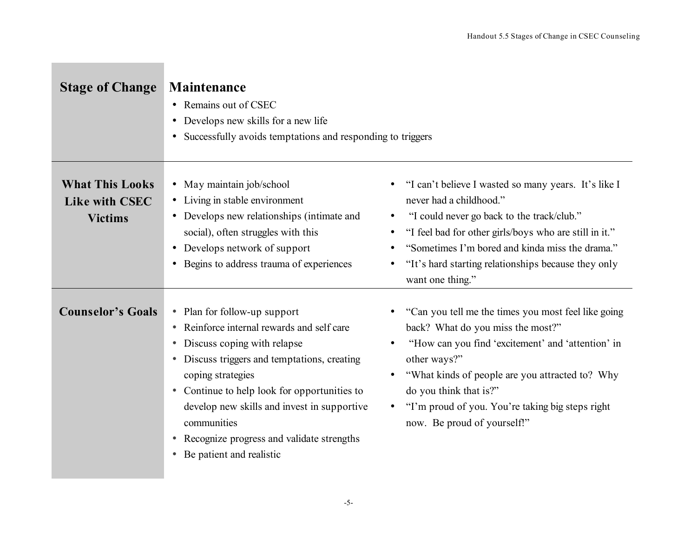| <b>Stage of Change</b>                                            | <b>Maintenance</b>                                                                                                                                                                                                                                                                                                                                                                             |                                                                                                                                                                                                                                                                                                                                                              |
|-------------------------------------------------------------------|------------------------------------------------------------------------------------------------------------------------------------------------------------------------------------------------------------------------------------------------------------------------------------------------------------------------------------------------------------------------------------------------|--------------------------------------------------------------------------------------------------------------------------------------------------------------------------------------------------------------------------------------------------------------------------------------------------------------------------------------------------------------|
|                                                                   | Remains out of CSEC<br>$\bullet$                                                                                                                                                                                                                                                                                                                                                               |                                                                                                                                                                                                                                                                                                                                                              |
|                                                                   | Develops new skills for a new life<br>٠<br>Successfully avoids temptations and responding to triggers<br>$\bullet$                                                                                                                                                                                                                                                                             |                                                                                                                                                                                                                                                                                                                                                              |
|                                                                   |                                                                                                                                                                                                                                                                                                                                                                                                |                                                                                                                                                                                                                                                                                                                                                              |
| <b>What This Looks</b><br><b>Like with CSEC</b><br><b>Victims</b> | • May maintain job/school<br>• Living in stable environment<br>• Develops new relationships (intimate and<br>social), often struggles with this<br>Develops network of support<br>$\bullet$<br>Begins to address trauma of experiences<br>$\bullet$                                                                                                                                            | "I can't believe I wasted so many years. It's like I<br>never had a childhood."<br>"I could never go back to the track/club."<br>$\bullet$<br>"I feel bad for other girls/boys who are still in it."<br>$\bullet$<br>"Sometimes I'm bored and kinda miss the drama."<br>"It's hard starting relationships because they only<br>$\bullet$<br>want one thing." |
| <b>Counselor's Goals</b>                                          | • Plan for follow-up support<br>Reinforce internal rewards and self care<br>$\bullet$<br>Discuss coping with relapse<br>Discuss triggers and temptations, creating<br>٠<br>coping strategies<br>Continue to help look for opportunities to<br>$\bullet$<br>develop new skills and invest in supportive<br>communities<br>Recognize progress and validate strengths<br>Be patient and realistic | "Can you tell me the times you most feel like going<br>back? What do you miss the most?"<br>"How can you find 'excitement' and 'attention' in<br>other ways?"<br>"What kinds of people are you attracted to? Why<br>do you think that is?"<br>"I'm proud of you. You're taking big steps right<br>now. Be proud of yourself!"                                |